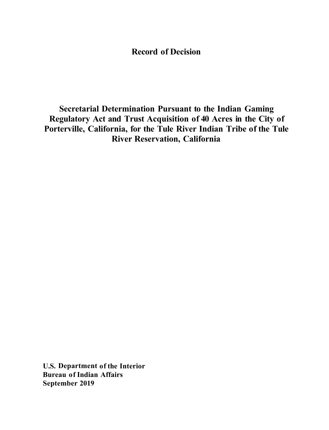# **Record of Decision**

**Secretarial Determination Pursuant to the Indian Gaming Regulatory Act and Trust Acquisition of 40 Acres in the City of Porterville, California, for the Tule River Indian Tribe of the Tule River Reservation, California** 

**U.S. Department of the Interior Bureau of Indian Affairs September 2019**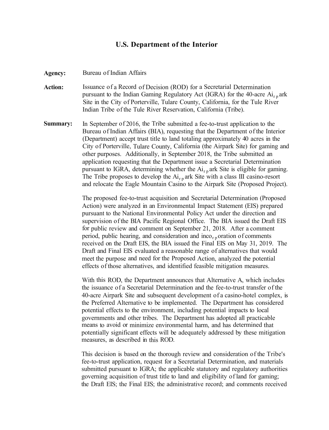### **U.S. Department of the Interior**

Agency: Bureau of Indian Affairs

- **Action:** Issuance of a Record of Decision (ROD) for a Secretarial Determination pursuant to the Indian Gaming Regulatory Act (IGRA) for the 40-acre  $Ai_{r,p}$  ark Site in the City of Porterville, Tulare County, California, for the Tule River Indian Tribe of the Tule River Reservation, California (Tribe).
- **Summary:** In September of 2016, the Tribe submitted a fee-to-trust application to the Bureau of Indian Affairs (BIA), requesting that the Department of the Interior (Department) accept trust title to land totaling approximately 40 acres in the City of Porterville, Tulare County, California (the Airpark Site) for gaming and other purposes. Additionally, in September 2018, the Tribe submitted an application requesting that the Department issue a Secretarial Determination pursuant to IGRA, determining whether the  $Ai_{r,p}$  ark Site is eligible for gaming. The Tribe proposes to develop the  $Ai_{r,p}$  ark Site with a class III casino-resort and relocate the Eagle Mountain Casino to the Airpark Site (Proposed Project).

The proposed fee-to-trust acquisition and Secretarial Determination (Proposed Action) were analyzed in an Environmental Impact Statement (EIS) prepared pursuant to the National Environmental Policy Act under the direction and supervision of the BIA Pacific Regional Office. The BIA issued the Draft EIS for public review and comment on September 21, 2018. After a comment period, public hearing, and consideration and inco<sub>rp</sub> oration of comments received on the Draft EIS, the BIA issued the Final EIS on May 31, 2019. The Draft and Final EIS evaluated a reasonable range of alternatives that would meet the purpose and need for the Proposed Action, analyzed the potential effects of those alternatives, and identified feasible mitigation measures.

With this ROD, the Department announces that Alternative A, which includes the issuance of a Secretarial Determination and the fee-to-trust transfer of the 40-acre Airpark Site and subsequent development of a casino-hotel complex, is the Preferred Alternative to be implemented. The Department has considered potential effects to the environment, including potential impacts to local governments and other tribes. The Department has adopted all practicable means to avoid or minimize environmental harm, and has determined that potentially significant effects will be adequately addressed by these mitigation measures, as described in this ROD.

This decision is based on the thorough review and consideration of the Tribe's fee-to-trust application, request for a Secretarial Determination, and materials submitted pursuant to IGRA; the applicable statutory and regulatory authorities governing acquisition of trust title to land and eligibility of land for gaming; the Draft EIS; the Final EIS; the administrative record; and comments received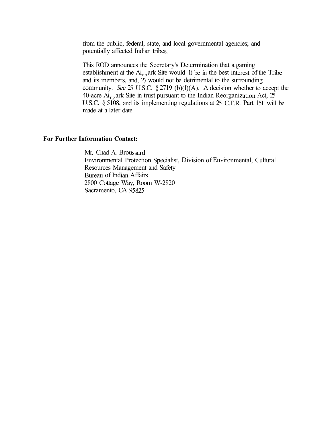from the public, federal, state, and local governmental agencies; and potentially affected Indian tribes.

This ROD announces the Secretary's Determination that a gaming establishment at the  $Ai_{r,p}$  ark Site would 1) be in the best interest of the Tribe and its members, and,  $2)$  would not be detrimental to the surrounding community. *See*  $25$  U.S.C.  $\S 2719$  (b)(1)(A). A decision whether to accept the 40-acre Ai<sub>r p</sub> ark Site in trust pursuant to the Indian Reorganization Act,  $2\overline{5}$ U.S.C. § 5108, and its implementing regulations at 25 C.F.R. Part 151 will be made at a later date.

#### **For Further Information Contact:**

Mr. Chad A. Broussard Environmental Protection Specialist, Division of Environmental, Cultural Resources Management and Safety Bureau of Indian Affairs 2800 Cottage Way, Room W-2820 Sacramento, CA 95825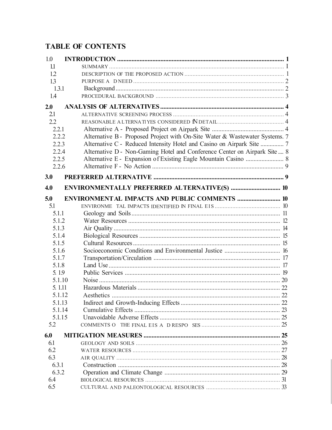# **TABLE OF CONTENTS**

| 1.0    |                                                                             |  |
|--------|-----------------------------------------------------------------------------|--|
| 1.1    |                                                                             |  |
| 1.2    |                                                                             |  |
| 13     |                                                                             |  |
| 1.3.1  |                                                                             |  |
| 1.4    |                                                                             |  |
| 2.0    |                                                                             |  |
| 2.1    |                                                                             |  |
| 2.2    |                                                                             |  |
| 2.2.1  |                                                                             |  |
| 2.2.2  | Alternative B - Proposed Project with On-Site Water & Wastewater Systems. 7 |  |
| 2.2.3  | Alternative C - Reduced Intensity Hotel and Casino on Airpark Site  7       |  |
| 2.2.4  | Alternative D - Non-Gaming Hotel and Conference Center on Airpark Site  8   |  |
| 2.2.5  | Alternative E - Expansion of Existing Eagle Mountain Casino  8              |  |
| 2.2.6  |                                                                             |  |
| 3.0    |                                                                             |  |
|        |                                                                             |  |
| 4.0    |                                                                             |  |
| 5.0    | <b>ENVIRONMENTAL IMPACTS AND PUBLIC COMMENTS  10</b>                        |  |
| 5.1    |                                                                             |  |
| 5.1.1  |                                                                             |  |
| 5.1.2  |                                                                             |  |
| 5.1.3  |                                                                             |  |
| 5.1.4  |                                                                             |  |
| 5.1.5  |                                                                             |  |
| 5.1.6  |                                                                             |  |
| 5.1.7  |                                                                             |  |
| 5.1.8  |                                                                             |  |
| 5.19   |                                                                             |  |
| 5.1.10 |                                                                             |  |
| 5.1.11 |                                                                             |  |
| 5.1.12 | Aesthetics                                                                  |  |
| 5.1.13 |                                                                             |  |
| 5.1.14 |                                                                             |  |
| 5.1.15 |                                                                             |  |
| 5.2    |                                                                             |  |
| 6.0    |                                                                             |  |
| 6.1    |                                                                             |  |
| 6.2    |                                                                             |  |
| 6.3    |                                                                             |  |
| 6.3.1  |                                                                             |  |
| 6.3.2  |                                                                             |  |
| 6.4    |                                                                             |  |
| 6.5    |                                                                             |  |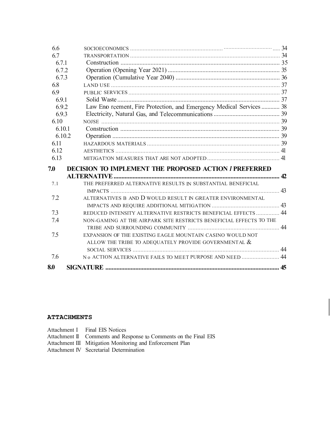| 8.0              |                                                                      |    |
|------------------|----------------------------------------------------------------------|----|
| 7.6              | No ACTION ALTERNATIVE FAILS TO MEET PURPOSE AND NEED  44             |    |
|                  |                                                                      |    |
|                  | ALLOW THE TRIBE TO ADEQUATELY PROVIDE GOVERNMENTAL $\&$              |    |
| 7.5              | EXPANSION OF THE EXISTING EAGLE MOUNTAIN CASINO WOULD NOT            |    |
|                  |                                                                      |    |
| 7.4              | NON-GAMING AT THE AIRPARK SITE RESTRICTS BENEFICIAL EFFECTS TO THE   |    |
| 7.3              | REDUCED INTENSITY ALTERNATIVE RESTRICTS BENEFICIAL EFFECTS  44       |    |
|                  |                                                                      |    |
| 72               | ALTERNATIVES B AND D WOULD RESULT IN GREATER ENVIRONMENTAL           |    |
| 7.1              |                                                                      |    |
|                  | THE PREFERRED ALTERNATIVE RESULTS IN SUBSTANTIAL BENEFICIAL          | 42 |
| 7.0              | <b>DECISION TO IMPLEMENT THE PROPOSED ACTION I PREFERRED</b>         |    |
|                  |                                                                      |    |
| 6.13             |                                                                      |    |
| 6.12             |                                                                      |    |
| 6.11             |                                                                      |    |
| 6.10.1<br>6.10.2 |                                                                      |    |
| 6.10             |                                                                      |    |
| 6.9.3            |                                                                      |    |
| 6.9.2            | Law Eno reement, Fire Protection, and Emergency Medical Services  38 |    |
| 6.9.1            |                                                                      |    |
| 6.9              |                                                                      |    |
| 6.8              |                                                                      |    |
| 6.7.3            |                                                                      |    |
| 6.7.2            |                                                                      |    |
| 6.7.1            |                                                                      |    |
| 6.7              |                                                                      |    |
| 6.6              |                                                                      |    |

### **ATTACHMENTS**

| Attachment I Final EIS Notices                                   |
|------------------------------------------------------------------|
| Attachment II Comments and Response to Comments on the Final EIS |
| Attachment III Mitigation Monitoring and Enforcement Plan        |
| Attachment IV Secretarial Determination                          |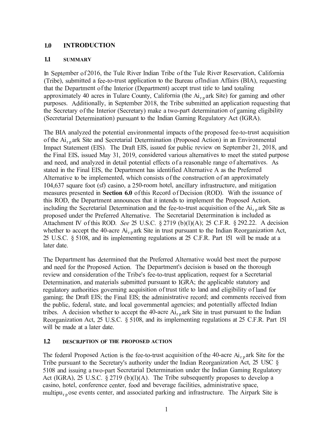### **1.0 INTRODUCTION**

#### **1.1 SUMMARY**

In September of 2016, the Tule River Indian Tribe of the Tule River Reservation, California (Tribe), submitted a fee-to-trust application to the Bureau oflndian Affairs (BIA), requesting that the Department of the Interior (Department) accept trust title to land totaling approximately 40 acres in Tulare County, California (the  $Ai_{r,p}$  ark Site) for gaming and other purposes. Additionally, in September 2018, the Tribe submitted an application requesting that the Secretary of the Interior (Secretary) make a two-part determination of gaming eligibility (Secretarial Determination) pursuant to the Indian Gaming Regulatory Act (IGRA).

The BIA analyzed the potential environmental impacts of the proposed fee-to-trust acquisition of the  $Ai_{r,p}$ ark Site and Secretarial Determination (Proposed Action) in an Environmental Impact Statement (EIS). The Draft EIS, issued for public review on September 21, 2018, and the Final EIS, issued May 31, 2019, considered various alternatives to meet the stated purpose and need, and analyzed in detail potential effects of a reasonable range of alternatives. As stated in the Final EIS, the Department has identified Alternative A as the Preferred Alternative to be implemented, which consists of the construction of an approximately I 04,637 square foot (sf) casino, a 250-room hotel, ancillary infrastructure, and mitigation measures presented in **Section 6.0** of this Record of Decision (ROD). With the issuance of this ROD, the Department announces that it intends to implement the Proposed Action, including the Secretarial Determination and the fee-to-trust acquisition of the  $Ai_{r,p}$  ark Site as proposed under the Preferred Alternative. The Secretarial Determination is included as Attachment IV of this ROD. *See* 25 U.S.C. § 2719 (b)(l)(A); 25 C.F.R. § 292.22. A decision whether to accept the 40-acre  $Ai_{r,p}$  ark Site in trust pursuant to the Indian Reorganization Act, 25 U.S.C. § 5108, and its implementing regulations at 25 C.F.R. Part 151 will be made at a later date.

The Department has determined that the Preferred Alternative would best meet the purpose and need for the Proposed Action. The Department's decision is based on the thorough review and consideration of the Tribe's fee-to-trust application, request for a Secretarial Determination, and materials submitted pursuant to IGRA; the applicable statutory and regulatory authorities governing acquisition of trust title to land and eligibility of land for gaming; the Draft EIS; the Final EIS; the administrative record; and comments received from the public, federal, state, and local governmental agencies; and potentially affected Indian tribes. A decision whether to accept the 40-acre  $Ai_{r,p}$  ark Site in trust pursuant to the Indian Reorganization Act, 25 U.S.C. § 5108, and its implementing regulations at 25 C.F.R. Part 151 will be made at a later date.

#### **1.2 DESCRJPTION OF THE PROPOSED ACTION**

The federal Proposed Action is the fee-to-trust acquisition of the 40-acre  $Ai_{r,p}$  ark Site for the Tribe pursuant to the Secretary's authority under the Indian Reorganization Act, 25 USC § 5108 and issuing a two-part Secretarial Determination under the Indian Gaming Regulatory Act (IGRA), 25 U.S.C. § 2719 (b)(l)(A). The Tribe subsequently proposes to develop a casino, hotel, conference center, food and beverage facilities, administrative space, multipu<sub>r p</sub> ose events center, and associated parking and infrastructure. The Airpark Site is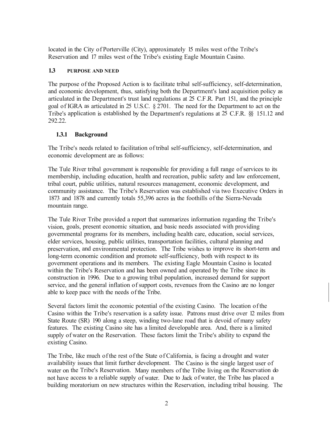located in the City of Porterville (City), approximately 15 miles west of the Tribe's Reservation and 17 miles west of the Tribe's existing Eagle Mountain Casino.

### **1.3 PURPOSE AND NEED**

The purpose of the Proposed Action is to facilitate tribal self-sufficiency, self-determination, and economic development, thus, satisfying both the Department's land acquisition policy as articulated in the Department's trust land regulations at 25 C.F .R. Part 151, and the principle goal of IGRA as articulated in 25 U.S.C. § 2701. The need for the Department to act on the Tribe's application is established by the Department's regulations at 25 C.F.R. §§ 151.12 and 292.22.

# **1.3.1 Background**

The Tribe's needs related to facilitation of tribal self-sufficiency, self-determination, and economic development are as follows:

The Tule River tribal government is responsible for providing a full range of services to its membership, including education, health and recreation, public safety and law enforcement, tribal court, public utilities, natural resources management, economic development, and community assistance. The Tribe's Reservation was established via two Executive Orders in 1873 and 1878 and currently totals 55,396 acres in the foothills of the Sierra-Nevada mountain range.

The Tule River Tribe provided a report that summarizes information regarding the Tribe's vision, goals, present economic situation, and basic needs associated with providing governmental programs for its members, including health care, education, social services, elder services, housing, public utilities, transportation facilities, cultural planning and preservation, and environmental protection. The Tribe wishes to improve its short-term and long-term economic condition and promote self-sufficiency, both with respect to its government operations and its members. The existing Eagle Mountain Casino is located within the Tribe's Reservation and has been owned and operated by the Tribe since its construction in 1996. Due to a growing tribal population, increased demand for support service, and the general inflation of support costs, revenues from the Casino are no longer able to keep pace with the needs of the Tribe.

Several factors limit the economic potential of the existing Casino. The location of the Casino within the Tribe's reservation is a safety issue. Patrons must drive over 12 miles from State Route (SR) 190 along a steep, winding two-lane road that is devoid of many safety features. The existing Casino site has a limited developable area. And, there is a limited supply of water on the Reservation. These factors limit the Tribe's ability to expand the existing Casino.

The Tribe, like much of the rest of the State of California, is facing a drought and water availability issues that limit further development. The Casino is the single largest user of water on the Tribe's Reservation. Many members of the Tribe living on the Reservation do not have access to a reliable supply of water. Due to Jack of water, the Tribe has placed a building moratorium on new structures within the Reservation, including tribal housing. The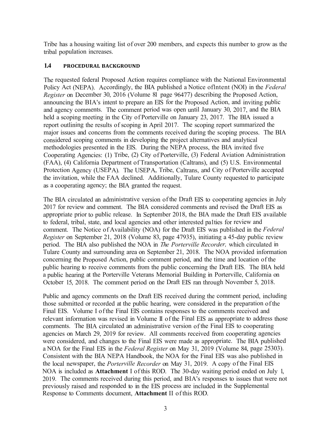Tribe has a housing waiting list of over 200 members, and expects this number to grow as the tribal population increases.

#### **1.4 PROCEDURAL BACKGROUND**

The requested federal Proposed Action requires compliance with the National Environmental Policy Act (NEPA). Accordingly, the BIA published a Notice oflntent (NOI) in the *Federal Register* on December 30, 2016 (Volume 81 page 96477) describing the Proposed Action, announcing the BIA's intent to prepare an EIS for the Proposed Action, and inviting public and agency comments. The comment period was open until January 30, 2017, and the BIA held a scoping meeting in the City of Porterville on January 23, 2017. The BIA issued a report outlining the results of scoping in April 2017. The scoping report summarized the major issues and concerns from the comments received during the scoping process. The BIA considered scoping comments in developing the project alternatives and analytical methodologies presented in the EIS. During the NEPA process, the BIA invited five Cooperating Agencies: (1) Tribe, (2) City of Porterville, (3) Federal Aviation Administration (FAA), (4) California Department of Transportation (Caltrans), and (5) U.S. Environmental Protection Agency (USEPA). The USEPA, Tribe, Caltrans, and City of Porterville accepted the invitation, while the FAA declined. Additionally, Tulare County requested to participate as a cooperating agency; the BIA granted the request.

The BIA circulated an administrative version of the Draft EIS to cooperating agencies in July 2017 for review and comment. The BIA considered comments and revised the Draft EIS as appropriate prior to public release. In September 2018, the BIA made the Draft EIS available to federal, tribal, state, and local agencies and other interested pa1ties for review and comment. The Notice of Availability (NOA) for the Draft EIS was published in the *Federal Register* on September 21, 2018 (Volume 83, page 47935), initiating a 45-day public review period. The BIA also published the NOA in *The Porterville Recorder,* which circulated in Tulare County and surrounding area on September 21, 2018. The NOA provided information concerning the Proposed Action, public comment period, and the time and location of the public hearing to receive comments from the public concerning the Draft EIS. The BIA held a public hearing at the Porterville Veterans Memorial Building in Porterville, California on October 15, 2018. The comment period on the Draft EIS ran through November 5, 2018.

Public and agency comments on the Draft EIS received during the comment period, including those submitted or recorded at the public hearing, were considered in the preparation of the Final EIS. Volume I of the Final EIS contains responses to the comments received and relevant information was revised in Volume II of the Final EIS as appropriate to address those comments. The BIA circulated an administrative version of the Final EIS to cooperating agencies on March 29, 2019 for review. All comments received from cooperating agencies were considered, and changes to the Final EIS were made as appropriate. The BIA published a NOA for the Final EIS in the *Federal Register* on May 31, 2019 (Volume 84, page 25303). Consistent with the BIA NEPA Handbook, the NOA for the Final EIS was also published in the local newspaper, the *Porterville Recorder* on May 31, 2019. A copy of the Final EIS NOA is included as **Attachment** I of this ROD. The 30-day waiting period ended on July 1, 2019. The comments received during this period, and BIA's responses to issues that were not previously raised and responded to in the EIS process are included in the Supplemental Response to Comments document, **Attachment** II of this ROD.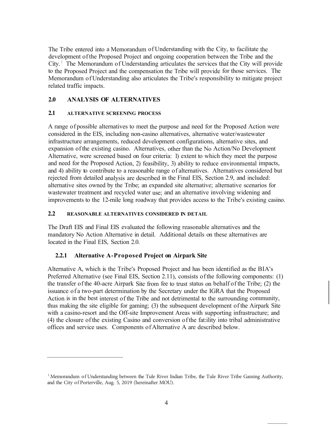The Tribe entered into a Memorandum of Understanding with the City, to facilitate the development of the Proposed Project and ongoing cooperation between the Tribe and the  $City.$ <sup>1</sup> The Memorandum of Understanding articulates the services that the City will provide to the Proposed Project and the compensation the Tribe will provide for those services. The Memorandum of Understanding also articulates the Tribe's responsibility to mitigate project related traffic impacts.

# **2.0 ANALYSIS OF ALTERNATIVES**

#### **2.1 ALTERNATIVE SCREENfNG PROCESS**

A range of possible alternatives to meet the purpose and need for the Proposed Action were considered in the EIS, including non-casino alternatives, alternative water/wastewater infrastructure arrangements, reduced development configurations, alternative sites, and expansion of the existing casino. Alternatives, other than the No Action/No Development Alternative, were screened based on four criteria: 1) extent to which they meet the purpose and need for the Proposed Action, 2) feasibility, 3) ability to reduce environmental impacts, and 4) ability to contribute to a reasonable range of alternatives. Alternatives considered but rejected from detailed analysis are described in the Final EIS, Section 2.9, and included: alternative sites owned by the Tribe; an expanded site alternative; alternative scenarios for wastewater treatment and recycled water use; and an alternative involving widening and improvements to the 12-rnile long roadway that provides access to the Tribe's existing casino.

### **2.2 REASONABLE ALTERNATIVES CONSIDERED IN DETAIL**

The Draft EIS and Final EIS evaluated the following reasonable alternatives and the mandatory No Action Alternative in detail. Additional details on these alternatives are located in the Final EIS, Section 2.0.

# **2.2.1 Alternative A-Proposed Project on Airpark Site**

Alternative A, which is the Tribe's Proposed Project and has been identified as the BIA's Preferred Alternative (see Final EIS, Section 2.11), consists of the following components: (1) the transfer of the 40-acre Airpark Site from fee to trust status on behalf of the Tribe; (2) the issuance of a two-part determination by the Secretary under the IGRA that the Proposed Action is in the best interest of the Tribe and not detrimental to the surrounding community, thus making the site eligible for gaming; (3) the subsequent development of the Airpark Site with a casino-resort and the Off-site Improvement Areas with supporting infrastructure; and ( 4) the closure of the existing Casino and conversion of the fat:ility into tribal administrative offices and service uses. Components of Alternative A are described below.

<sup>&</sup>lt;sup>1</sup> Memorandum of Understanding between the Tule River Indian Tribe, the Tule River Tribe Gaming Authority, and the City of Porterville, Aug. 5, 2019 (hereinafter MOU).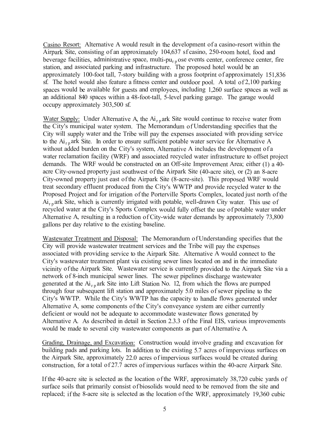Casino Resort: Alternative A would result in the development of a casino-resort within the Airpark Site, consisting of an approximately 104,637 sf casino, 250-room hotel, food and beverage facilities, administrative space, multi-pu<sub>r p</sub> ose events center, conference center, fire station, and associated parking and infrastructure. The proposed hotel would be an approximately 100-foot tall, 7-story building with a gross footprint of approximately 151,836 sf. The hotel would also feature a fitness center and outdoor pool. A total of 2,100 parking spaces would be available for guests and employees, including 1,260 surface spaces as well as an additional 840 spaces within a 48-foot-tall, 5-level parking garage. The garage would occupy approximately 303,500 sf.

Water Supply: Under Alternative A, the  $Ai_{r,p}$  ark Site would continue to receive water from the City's municipal water system. The Memorandum of Understanding specifies that the City will supply water and the Tribe will pay the expenses associated with providing service to the  $Ai_{r,p}$  ark Site. In order to ensure sufficient potable water service for Alternative A without added burden on the City's system, Alternative A includes the development of a water reclamation facility (WRF) and associated recycled water infrastructure to offset project demands. The WRF would be constructed on an Off-site Improvement Area; either (1) a 40 acre City-owned property just southwest of the Airpark Site (40-acre site), or (2) an 8-acre City-owned property just east of the Airpark Site (8-acre-site). This proposed WRF would treat secondary effluent produced from the City's WWTP and provide recycled water to the Proposed Project and for irrigation of the Porterville Sports Complex, located just north of the  $Ai_{r,p}$  ark Site, which is currently irrigated with potable, well-drawn City water. This use of recycled water at the City's Sports Complex would fully offset the use of potable water under Alternative A, resulting in a reduction of City-wide water demands by approximately 73,800 gallons per day relative to the existing baseline.

Wastewater Treatment and Disposal: The Memorandum of Understanding specifies that the City will provide wastewater treatment services and the Tribe will pay the expenses associated with providing service to the Airpark Site. Alternative A would connect to the City's wastewater treatment plant via existing sewer lines located on and in the immediate vicinity of the Airpark Site. Wastewater service is currently provided to the Airpark Site via a network of 8-inch municipal sewer lines. The sewer pipelines discharge wastewater generated at the  $Ai_{r,p}$  ark Site into Lift Station No. 12, from which the flows are pumped through four subsequent lift station and approximately 5.0 miles of sewer pipeline to the City's WWTP. While the City's WWTP has the capacity to handle flows generated under Alternative A, some components of the City's conveyance system are either currently deficient or would not be adequate to accommodate wastewater flows generated by Alternative A. As described in detail in Section 2.3.3 of the Final EIS, various improvements would be made to several city wastewater components as part of Alternative A.

Grading, Drainage, and Excavation: Construction would involve grading and excavation for building pads and parking lots. In addition to the existing 5.7 acres of impervious surfaces on the Airpark Site, approximately 22.0 acres of impervious surfaces would be created during construction, for a total of 27.7 acres of impervious surfaces within the 40-acre Airpark Site.

If the 40-acre site is selected as the location of the WRF, approximately 38,720 cubic yards of surface soils that primarily consist of biosolids would need to be removed from the site and replaced; if the 8-acre site is selected as the location of the WRF, approximately 19,360 cubic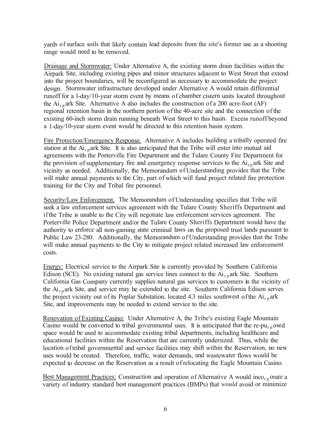yards of surface soils that likely contain lead deposits from the site's former use as a shooting range would need to be removed.

Drainage and Stormwater: Under Alternative A, the existing storm drain facilities within the Airpark Site, including existing pipes and minor structures adjacent to West Street that extend into the project boundaries, will be reconfigured as necessary to accommodate the project design. Stormwater infrastructure developed under Alternative A would retain differential runoff for a l-day/10-year storm event by means of chamber cistern units located throughout the  $Ai_{r,p}$  ark Site. Alternative A also includes the construction of a 200 acre-foot (AF) regional retention basin in the northern portion of the 40-acre site and the connection of the existing 60-inch storm drain running beneath West Street to this basin. Excess runoff beyond a 1-day/10-year storm event would be directed to this retention basin system.

Fire Protection/Emergency Response. Alternative A includes building a tribally operated fire station at the  $Ai_{r,p}$  ark Site. It is also anticipated that the Tribe will enter into mutual aid agreements with the Porterville Fire Department and the Tulare County Fire Department for the provision of supplementary fire and emergency response services to the  $Ai_{r,p}$  ark Site and vicinity as needed. Additionally, the Memorandum of Understanding provides that the Tribe will make annual payments to the City, part of which will fund project related fire protection training for the City and Tribal fire personnel.

Security/Law Enforcement. The Memorandum of Understanding specifies that Tribe will seek a law enforcement services agreement with the Tulare County Sheriffs Department and if the Tribe is unable to the City will negotiate law enforcement services agreement. The Porterville Police Department and/or the Tulare County Sheriffs Department would have the authority to enforce all non-gaming state criminal laws on the proposed trust lands pursuant to Public Law 23-280. Additionally, the Memorandum of Understanding provides that the Tribe will make annual payments to the City to mitigate project related increased law enforcement costs.

Energy: Electrical service to the Airpark Site is currently provided by Southern California Edison (SCE). No existing natural gas service lines connect to the  $Ai_{r}$  ark Site. Southern California Gas Company currently supplies natural gas services to customers in the vicinity of the  $Ai<sub>r p</sub>$  ark Site, and service may be extended to the site. Southern California Edison serves the project vicinity out of its Poplar Substation, located 4.3 miles southwest of the  $Ai_{rp}$  ark Site, and improvements may be needed to extend service to the site.

Renovation of Existing Casino: Under Alternative A, the Tribe's existing Eagle Mountain Casino would be converted to tribal governmental uses. It is anticipated that the re-pu<sub>rp</sub> osed space would be used to accommodate existing tribal departments, including healthcare and educational facilities within the Reservation that are currently undersized. Thus, while the location of tribal governmental and service facilities may shift within the Reservation, no new uses would be created. Therefore, traffic, water demands, and wastewater flows would be expected to decrease on the Reservation as a result of relocating the Eagle Mountain Casino.

Best Management Practices: Construction and operation of Alternative A would inco<sub>rp</sub>orate a variety of industry standard best management practices (BMPs) that *would* avoid or minimize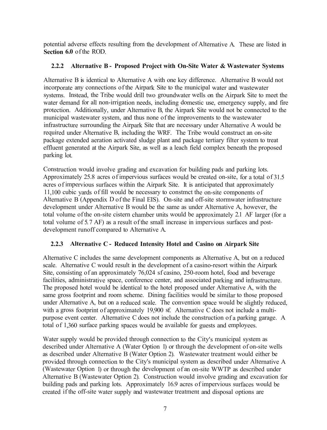potential adverse effects resulting from the development of Alternative A. These are listed in **Section 6.0** of the ROD.

### **2.2.2 Alternative B - Proposed Project with On-Site Water & Wastewater Systems**

Alternative B is identical to Alternative A with one key difference. Alternative B would not incorporate any connections of the Airpark Site to the municipal water and wastewater systems. Instead, the Tribe would drill two groundwater wells on the Airpark Site to meet the water demand for all non-irrigation needs, including domestic use, emergency supply, and fire protection. Additionally, under Alternative B, the Airpark Site would not be connected to the municipal wastewater system, and thus none of the improvements to the wastewater infrastructure surrounding the Airpark Site that are necessary under Alternative A would be required under Alternative B, including the WRF. The Tribe would construct an on-site package extended aeration activated sludge plant and package tertiary filter system to treat effluent generated at the Airpark Site, as well as a leach field complex beneath the proposed parking lot.

Construction would involve grading and excavation for building pads and parking lots. Approximately 25.8 acres of impervious surfaces would be created on-site, for a total of 31.5 acres of impervious surfaces within the Airpark Site. It is anticipated that approximately 11,100 cubic yards of fill would be necessary to constmct the on-site components of Alternative B (Appendix D of the Final EIS). On-site and off-site stormwater infrastructure development under Alternative B would be the same as under Alternative A, however, the total volume of the on-site cistern chamber units would be approximately 2.1 AF larger (for a total volume of 5. 7 AF) as a result of the small increase in impervious surfaces and postdevelopment runoff compared to Alternative A.

# **2.2.3 Alternative C - Reduced Intensity Hotel and Casino on Airpark Site**

Alternative C includes the same development components as Alternative A, but on a reduced scale. Alternative C would result in the development of a casino-resort within the Airpark Site, consisting of an approximately 76,024 sf casino, 250-room hotel, food and beverage facilities, administrative space, conference center, and associated parking and infrastructure. The proposed hotel would be identical to the hotel proposed under Alternative A, with the same gross footprint and room scheme. Dining facilities would be similar to those proposed under Alternative A, but on a reduced scale. The convention space would be slightly reduced, with a gross footprint of approximately 19,900 sf. Alternative C does not include a multipurpose event center. Alternative C does not include the construction of a parking garage. A total of 1,360 surface parking spaces would be available for guests and employees.

Water supply would be provided through connection to the City's municipal system as described under Alternative A (Water Option 1) or through the development of on-site wells as described under Alternative B (Water Option 2). Wastewater treatment would either be provided through connection to the City's municipal system as described under Alternative A (Wastewater Option 1) or through the development of an on-site WWTP as described under Alternative B (Wastewater Option 2). Construction would involve grading and excavation for building pads and parking lots. Approximately 16.9 acres of impervious surfaces would be created if the off-site water supply and wastewater treatment and disposal options are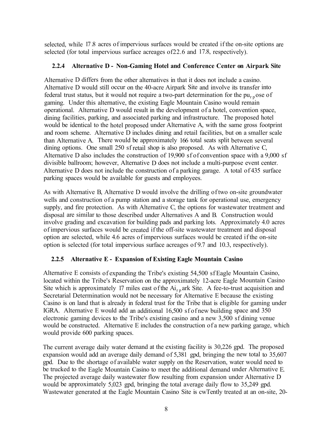selected, while 17.8 acres of impervious surfaces would be created if the on-site options are selected (for total impervious surface acreages of22.6 and 17.8, respectively).

#### **2.2.4 Alternative D - Non-Gaming Hotel and Conference Center on Airpark Site**

Alternative D differs from the other alternatives in that it does not include a casino. Alternative D would still occur on the 40-acre Airpark Site and involve its transfer into federal trust status, but it would not require a two-part determination for the  $pu_{r,p}$  ose of gaming. Under this alternative, the existing Eagle Mountain Casino would remain operational. Alternative D would result in the development of a hotel, convention space, dining facilities, parking, and associated parking and infrastructure. The proposed hotel would be identical to the hotel proposed under Alternative A, with the same gross footprint and room scheme. Alternative D includes dining and retail facilities, but on a smaller scale than Alternative A. There would be approximately 166 total seats split between several dining options. One small 250 sf retail shop is also proposed. As with Alternative C, Alternative D also includes the construction of 19,900 sf of convention space with a 9,000 sf divisible ballroom; however, Alternative D does not include a multi-purpose event center. Alternative D does not include the construction of a parking garage. A total of 435 surface parking spaces would be available for guests and employees.

As with Alternative B, Alternative D would involve the drilling of two on-site groundwater wells and construction of a pump station and a storage tank for operational use, emergency supply, and fire protection. As with Alternative C, the options for wastewater treatment and disposal are similar to those described under Alternatives A and B. Construction would involve grading and excavation for building pads and parking lots. Approximately 4.0 acres of impervious surfaces would be created if the off-site wastewater treatment and disposal option are selected, while 4.6 acres of impervious surfaces would be created if the on-site option is selected (for total impervious surface acreages of 9.7 and 10.3, respectively).

# **2.2.5 Alternative E - Expansion of Existing Eagle Mountain Casino**

Alternative E consists of expanding the Tribe's existing 54,500 sf Eagle Mountain Casino, located within the Tribe's Reservation on the approximately 12-acre Eagle Mountain Casino Site which is approximately 17 miles east of the  $Ai_{r,p}$  ark Site. A fee-to-trust acquisition and Secretarial Determination would not be necessary for Alternative E because the existing Casino is on land that is already in federal trust for the Tribe that is eligible for gaming under IGRA. Alternative E would add an additional 16,500 sf of new building space and 350 electronic gaming devices to the Tribe's existing casino and a new 3,500 sf dining venue would be constructed. Alternative E includes the construction of a new parking garage, which would provide 600 parking spaces.

The current average daily water demand at the existing facility is 30,226 gpd. The proposed expansion would add an average daily demand of 5,381 gpd, bringing the new total to 35,607 gpd. Due to the shortage of available water supply on the Reservation, water would need to be trucked to the Eagle Mountain Casino to meet the additional demand under Alternative E. The projected average daily wastewater flow resulting from expansion under Alternative D would be approximately 5,023 gpd, bringing the total average daily flow to 35,249 gpd. Wastewater generated at the Eagle Mountain Casino Site is cwTently treated at an on-site, 20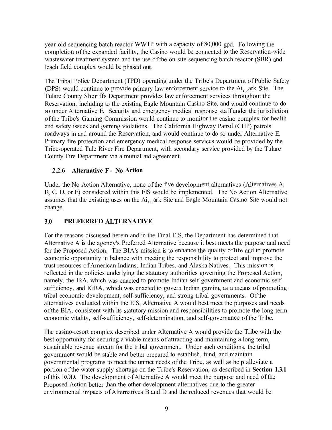year-old sequencing batch reactor WWTP with a capacity of 80,000 gpd. Following the completion of the expanded facility, the Casino would be connected to the Reservation-wide wastewater treatment system and the use of the on-site sequencing batch reactor (SBR) and leach field complex would be phased out.

The Tribal Police Department (TPD) operating under the Tribe's Department of Public Safety (DPS) would continue to provide primary law enforcement service to the  $Ai_{rp}$  ark Site. The Tulare County Sheriffs Department provides law enforcement services throughout the Reservation, including to the existing Eagle Mountain Casino Site, and would continue to do so under Alternative E. Security and emergency medical response staff under the jurisdiction of the Tribe's Gaming Commission would continue to monitor the casino complex for health and safety issues and gaming violations. The California Highway Patrol (CHP) patrols roadways in and around the Reservation, and would continue to do so under Alternative E. Primary fire protection and emergency medical response services would be provided by the Tribe-operated Tule River Fire Department, with secondary service provided by the Tulare County Fire Department via a mutual aid agreement.

#### **2.2.6 Alternative F - No Action**

Under the No Action Alternative, none of the five development alternatives (Alternatives A, B, C, D, or E) considered within this EIS would be implemented. The No Action Alternative assumes that the existing uses on the  $Ai_{r,p}$  ark Site and Eagle Mountain Casino Site would not change.

#### **3.0 PREFERRED ALTERNATIVE**

For the reasons discussed herein and in the Final EIS, the Department has determined that Alternative A is the agency's Preferred Alternative because it best meets the purpose and need for the Proposed Action. The BIA's mission is to enhance the quality oflife and to promote economic opportunity in balance with meeting the responsibility to protect and improve the trust resources of American Indians, Indian Tribes, and Alaska Natives. This mission is reflected in the policies underlying the statutory authorities governing the Proposed Action, namely, the IRA, which was enacted to promote Indian self-government and economic selfsufficiency, and IGRA, which was enacted to govern Indian gaming as a means of promoting tribal economic development, self-sufficiency, and strong tribal governments. Of the alternatives evaluated within the EIS, Alternative A would best meet the purposes and needs of the BIA, consistent with its statutory mission and responsibilities to promote the long-term economic vitality, self-sufficiency, self-determination, and self-governance of the Tribe.

The casino-resort complex described under Alternative A would provide the Tribe with the best opportunity for securing a viable means of attracting and maintaining a long-term, sustainable revenue stream for the tribal government. Under such conditions, the tribal government would be stable and better prepared to establish, fund, and maintain governmental programs to meet the unmet needs of the Tribe, as well as help alleviate a portion of the water supply shortage on the Tribe's Reservation, as described in **Section 1.3.1**  of this ROD. The development of Alternative A would meet the purpose and need of the Proposed Action better than the other development alternatives due to the greater environmental impacts of Alternatives B and D and the reduced revenues that would be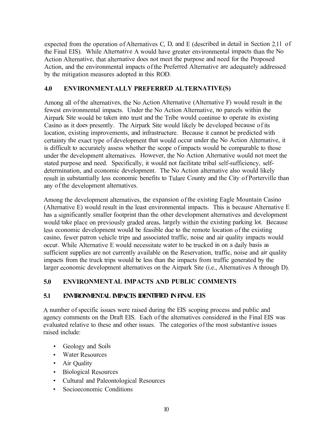expected from the operation of Alternatives C, D, and E ( described in detail in Section 2.11 of the Final EIS). While Alternative A would have greater environmental impacts than the No Action Alternative, that alternative does not meet the purpose and need for the Proposed Action, and the environmental impacts of the Preferred Alternative are adequately addressed by the mitigation measures adopted in this ROD.

### **4.0 ENVIRONMENT ALLY PREFERRED AL TERNATIVE(S)**

Among all of the alternatives, the No Action Alternative (Alternative F) would result in the fewest environmental impacts. Under the No Action Alternative, no parcels within the Airpark Site would be taken into trust and the Tribe would continue to operate its existing Casino as it does presently. The Airpark Site would likely be developed because of its location, existing improvements, and infrastructure. Because it cannot be predicted with certainty the exact type of development that would occur under the No Action Alternative, it is difficult to accurately assess whether the scope of impacts would be comparable to those under the development alternatives. However, the No Action Alternative would not meet the stated purpose and need. Specifically, it would not facilitate tribal self-sufficiency, selfdetermination, and economic development. The No Action alternative also would likely result in substantially less economic benefits to Tulare County and the City of Porterville than any of the development alternatives.

Among the development alternatives, the expansion of the existing Eagle Mountain Casino (Alternative E) would result in the least environmental impacts. This is because Alternative E has a significantly smaller footprint than the other development alternatives and development would take place on previously graded areas, largely within the existing parking lot. Because less economic development would be feasible due to the remote location of the existing casino, fewer patron vehicle trips and associated traffic, noise and air quality impacts would occur. While Alternative E would necessitate water to be trucked in on a daily basis as sufficient supplies are not currently available on the Reservation, traffic, noise and air quality impacts from the truck trips would be less than the impacts from traffic generated by the larger economic development alternatives on the Airpark Site (i.e., Alternatives A through D).

# **5.0 ENVIRONMENT AL IMP ACTS AND PUBLIC COMMENTS**

#### **5.1 ENVIRONMENTAL IMPACTS IDENTIFIED IN FINAL EIS**

A number of specific issues were raised during the EIS scoping process and public and agency comments on the Draft EIS. Each of the alternatives considered in the Final EIS was evaluated relative to these and other issues. The categories of the most substantive issues raised include:

- Geology and Soils
- Water Resources
- Air Quality
- Biological Resources
- Cultural and Paleontological Resources
- •Socioeconomic Conditions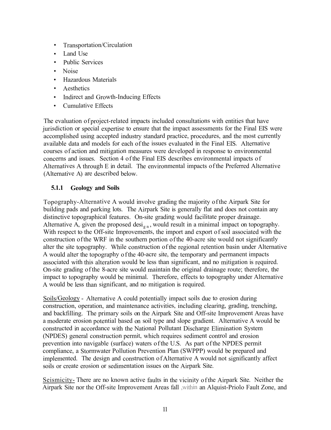- •Transportation/Circulation
- Land Use
- Public Services
- •Noise
- Hazardous Materials
- •Aesthetics
- Indirect and Growth-Inducing Effects
- •Cumulative Effects

The evaluation of project-related impacts included consultations with entities that have jurisdiction or special expertise to ensure that the impact assessments for the Final EIS were accomplished using accepted industry standard practice, procedures, and the most currently available data and models for each of the issues evaluated in the Final EIS. Alternative courses of action and mitigation measures were developed in response to environmental concerns and issues. Section 4 of the Final EIS describes environmental impacts of Alternatives A through E in detail. The environmental impacts of the Preferred Alternative (Alternative A) are described below.

# **5.1.1 Geology and Soils**

Topography-Alternative A would involve grading the majority of the Airpark Site for building pads and parking lots. The Airpark Site is generally flat and does not contain any distinctive topographical features. On-site grading would facilitate proper drainage. Alternative A, given the proposed desi<sub>gn</sub>, would result in a minimal impact on topography. With respect to the Off-site Improvements, the import and export of soil associated with the construction of the WRF in the southern portion of the 40-acre site would not significantly alter the site topography. While construction of the regional retention basin under Alternative A would alter the topography of the 40-acre site, the temporary and permanent impacts associated with this alteration would be less than significant, and no mitigation is required. On-site grading of the 8-acre site would maintain the original drainage route; therefore, the impact to topography would be minimal. Therefore, effects to topography under Alternative A would be less than significant, and no mitigation is required.

Soils/Geology - Alternative A could potentially impact soils due to erosion during construction, operation, and maintenance activities, including clearing, grading, trenching, and backfilling. The primary soils on the Airpark Site and Off-site Improvement Areas have a moderate erosion potential based on soil type and slope gradient. Alternative A would be constructed in accordance with the National Pollutant Discharge Elimination System (NPDES) general construction permit, which requires sediment control and erosion prevention into navigable (surface) waters of the U.S. As part of the NPDES permit compliance, a Stormwater Pollution Prevention Plan (SWPPP) would be prepared and implemented. The design and construction of Alternative A would not significantly affect soils or create erosion or sedimentation issues on the Airpark Site.

Seismicity- There are no known active faults in the vicinity of the Airpark Site. Neither the Airpark Site nor the Off-site Improvement Areas fall ,within an Alquist-Priolo Fault Zone, and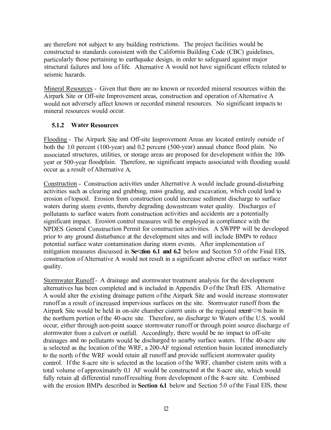are therefore not subject to any building restrictions. The project facilities would be constructed to standards consistent with the California Building Code (CBC) guidelines, particularly those pertaining to earthquake design, in order to safeguard against major structural failures and loss of life. Alternative A would not have significant effects related to seismic hazards.

Mineral Resources - Given that there are no known or recorded mineral resources within the Airpark Site or Off-site Improvement areas, construction and operation of Alternative A would not adversely affect known or recorded mineral resources. No significant impacts to mineral resources would occur.

### **5.1.2 Water Resources**

Flooding - The Airpark Site and Off-site Improvement Areas are located entirely outside of both the 1.0 percent (100-year) and 0.2 percent (500-year) annual chance flood plain. No associated structures, utilities, or storage areas are proposed for development within the 100 year or 500-year floodplain. Therefore, no significant impacts associated with flooding would occur as a result of Alternative A.

Construction - Construction activities under Alternative A would include ground-disturbing activities such as clearing and grubbing, mass grading, and excavation, which could lead to erosion of topsoil. Erosion from construction could increase sediment discharge to surface waters during storm events, thereby degrading downstream water quality. Discharges of pollutants to surface waters from construction activities and accidents are a potentially significant impact. Erosion control measures will be employed in compliance with the NPDES General Construction Permit for construction activities. A SWPPP will be developed prior to any ground disturbance at the development sites and will include BMPs to reduce potential surface water contamination during storm events. After implementation of mitigation measures discussed in Sestion 6.1 and 6.2 below and Section 5.0 of the Final EIS, construction of Alternative A would not result in a significant adverse effect on surface water quality.

Stormwater Runoff - A drainage and stormwater treatment analysis for the development alternatives has been completed and is included in Appendix D of the Draft EIS. Alternative A would alter the existing drainage pattern of the Airpark Site and would increase stormwater runoff as a result of increased impervious surfaces on the site. Storm water runoff from the Airpark Site would be held in on-site chamber cistern units or the regional retenti<>n basin in the northern portion of the 40-acre site. Therefore, no discharge to Waters of the U.S. would occur, either through non-point source stormwater runoff or through point source discharge of stormwater from a culvert or outfall. Accordingly, there would be no impact to off-site drainages and no pollutants would be discharged to nearby surface waters. If the 40-acre site is selected as the location of the WRF, a 200-AF regional retention basin located immediately to the north of the WRF would retain all runoff and provide sufficient storm water quality control. If the 8-acre site is selected as the location of the WRF, chamber cistern units with a total volume of approximately 0.1 AF would be constructed at the 8-acre site, which would fully retain all differential runoff resulting from development of the 8-acre site. Combined with the erosion BMPs described in **Section 6.1** below and Section 5.0 of the Final EIS, these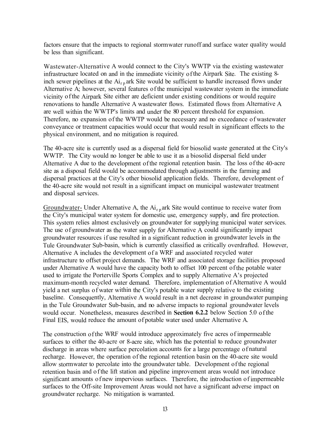factors ensure that the impacts to regional storm water runoff and surface water quality would be less than significant.

Wastewater-Alternative A would connect to the City's WWTP via the existing wastewater infrastructure located on and in the immediate vicinity of the Airpark Site. The existing 8 inch sewer pipelines at the  $Ai_{r,p}$  ark Site would be sufficient to handle increased flows under Alternative A; however, several features of the municipal wastewater system in the immediate vicinity of the Airpark Site either are deficient under existing conditions or would require renovations to handle Alternative A wastewater flows. Estimated flows from Alternative A are well within the WWTP's limits and under the 80 percent threshold for expansion. Therefore, no expansion of the WWTP would be necessary and no exceedance of wastewater conveyance or treatment capacities would occur that would result in significant effects to the physical environment, and no mitigation is required.

The 40-acre site is currently used as a dispersal field for biosolid waste generated at the City's WWTP. The City would no longer be able to use it as a biosolid dispersal field under Alternative A due to the development of the regional retention basin. The loss of the 40-acre site as a disposal field would be accommodated through adjustments in the farming and dispersal practices at the City's other biosolid application fields. Therefore, development of the 40-acre site would not result in a significant impact on municipal wastewater treatment and disposal services.

Groundwater- Under Alternative A, the  $Ai_{r,p}$  ark Site would continue to receive water from the City's municipal water system for domestic use, emergency supply, and fire protection. This system relies almost exclusively on groundwater for supplying municipal water services. The use of groundwater as the water supply for Alternative A could significantly impact groundwater resources if use resulted in a significant reduction in groundwater levels in the Tule Groundwater Sub-basin, which is currently classified as critically overdrafted. However, Alternative A includes the development of a WRF and associated recycled water infrastructure to offset project demands. The WRF and associated storage facilities proposed under Alternative A would have the capacity both to offset 100 percent of the potable water used to irrigate the Porterville Sports Complex and to supply Alternative A's projected maximum-month recycled water demand. Therefore, implementation of Alternative A would yield a net surplus of water within the City's potable water supply relative to the existing baseline. Consequently, Alternative A would result in a net decrease in groundwater pumping in the Tule Groundwater Sub-basin, and no adverse impacts to regional groundwater levels would occur. Nonetheless, measures described in **Section 6.2.2** below Section 5.0 of the Final EIS, would reduce the amount of potable water used under Alternative A.

The construction of the WRF would introduce approximately five acres of impermeable surfaces to either the 40-acre or 8-acre site, which has the potential to reduce groundwater discharge in areas where surface percolation accounts for a large percentage of natural recharge. However, the operation of the regional retention basin on the 40-acre site would allow storm water to percolate into the groundwater table. Development of the regional retention basin and of the lift station and pipeline improvement areas would not introduce significant amounts of new impervious surfaces. Therefore, the introduction of impermeable surfaces to the Off-site Improvement Areas would not have a significant adverse impact on groundwater recharge. No mitigation is warranted.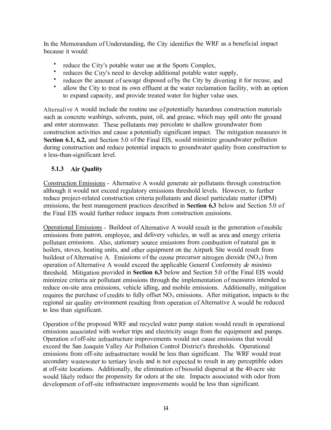In the Memorandum of Understanding, the City identifies the WRF as a beneficial impact because it would:

- •reduce the City's potable water use at the Sports Complex,
- •reduces the City's need to develop additional potable water supply,
- •reduces the amount of sewage disposed of by the City by diverting it for recuse, and
- • allow the City to treat its own effluent at the water reclamation facility, with an option to expand capacity, and provide treated water for higher value uses.

Alternali ve A would include the routine use of potentially hazardous construction materials such as concrete washings, solvents, paint, oil, and grease, which may spill onto the ground and enter stormwater. These pollutants may percolate to shallow groundwater from construction activities and cause a potentially significant impact. The mitigation measures in **Section 6.1, 6.2,** and Section 5.0 of the Final EIS, would minimize groundwater pollution during construction and reduce potential impacts to groundwater quality from construction to a less-than-significant level.

# **5.1.3 Air Quality**

Construction Emissions - Alternative A would generate air pollutants through construction although it would not exceed regulatory emissions threshold levels. However, to further reduce project-related construction criteria pollutants and diesel particulate matter (DPM) emissions, the best management practices described in **Section 6.3** below and Section 5.0 of the Final EIS would further reduce impacts from construction emissions.

Operational Emissions - Buildout of Alternative A would result in the generation of mobile emissions from patron, employee, and delivery vehicles, as well as area and energy criteria pollutant emissions. Also, stationary source emissions from combustion of natural gas in boilers, stoves, heating units, and other equipment on the Airpark Site would result from buildout of Alternative A. Emissions of the ozone precursor nitrogen dioxide  $(NO<sub>x</sub>)$  from operation of Alternative A would exceed the applicable General Conformity *de minimis*  threshold. Mitigation provided in **Section 6.3** below and Section 5.0 of the Final EIS would minimize criteria air pollutant emissions through the implementation of measures intended to reduce on-site area emissions, vehicle idling, and mobile emissions. Additionally, mitigation requires the purchase of credits to fully offset  $NO<sub>x</sub>$  emissions. After mitigation, impacts to the regional air quality environment resulting from operation of Alternative A would be reduced to less than significant.

Operation of the proposed WRF and recycled water pump station would result in operational emissions associated with worker trips and electricity usage from the equipment and pumps. Operation of off-site infrastructure improvements would not cause emissions that would exceed the San Joaquin Valley Air Pollution Control District's thresholds. Operational emissions from off-site infrastructure would be less than significant. The WRF would treat secondary wastewater to tertiary levels and is not expected to result in any perceptible odors at off-site locations. Additionally, the elimination of biosolid dispersal at the 40-acre site would likely reduce the propensity for odors at the site. Impacts associated with odor from development of off-site infrastructure improvements would be less than significant.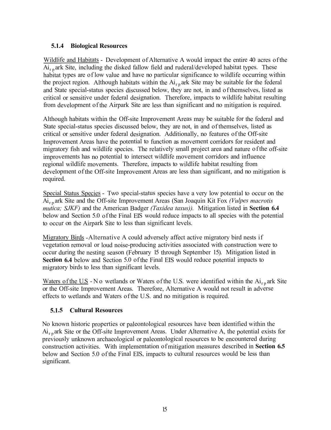# **5.1.4 Biological Resources**

Wildlife and Habitats - Development of Alternative A would impact the entire 40 acres of the  $Ai_{r,p}$  ark Site, including the disked fallow field and ruderal/developed habitat types. These habitat types are of low value and have no particular significance to wildlife occurring within the project region. Although habitats within the  $Ai_{r,p}$  ark Site may be suitable for the federal and State special-status species discussed below, they are not, in and of themselves, listed as critical or sensitive under federal designation. Therefore, impacts to wildlife habitat resulting from development of the Airpark Site are less than significant and no mitigation is required.

Although habitats within the Off-site Improvement Areas may be suitable for the federal and State special-status species discussed below, they are not, in and of themselves, listed as critical or sensitive under federal designation. Additionally, no features of the Off-site Improvement Areas have the potential to function as movement corridors for resident and migratory fish and wildlife species. The relatively small project area and nature of the off-site improvements has no potential to intersect wildlife movement corridors and influence regional wildlife movements. Therefore, impacts to wildlife habitat resulting from development of the Off-site Improvement Areas are less than significant, and no mitigation is required.

Special Status Species - Two special-status species have a very low potential to occur on the Ai<sup>r</sup> <sup>p</sup> ark Site and the Off-site Improvement Areas (San Joaquin Kit Fox *(Vulpes macrotis mutica; SJKF)* and the American Badger *(Taxidea taxus)).* Mitigation listed in **Section 6.4**  below and Section 5.0 of the Final EIS would reduce impacts to all species with the potential to occur on the Airpark Site to less than significant levels.

Migratory Birds -Alternative A could adversely affect active migratory bird nests if vegetation removal or loud noise-producing activities associated with construction were to occur during the nesting season (February 15 through September 15). Mitigation listed in **Section 6.4** below and Section 5.0 of the Final EIS would reduce potential impacts to migratory birds to less than significant levels.

Waters of the U.S - N o wetlands or Waters of the U.S. were identified within the  $Ai_{r,n}$  ark Site or the Off-site Improvement Areas. Therefore, Alternative A would not result in adverse effects to wetlands and Waters of the U.S. and no mitigation is required.

# **5.1.5 Cultural Resources**

No known historic properties or paleontological resources have been identified within the  $Ai_{r,p}$ ark Site or the Off-site Improvement Areas. Under Alternative A, the potential exists for previously unknown archaeological or paleontological resources to be encountered during construction activities. With implementation of mitigation measures described in **Section 6.5**  below and Section 5.0 of the Final EIS, impacts to cultural resources would be less than significant.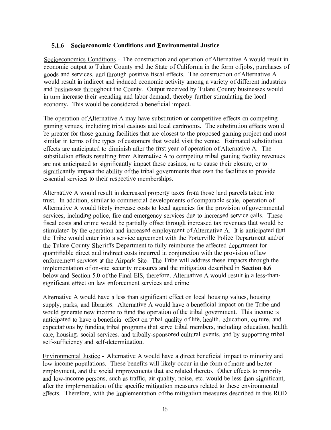### **5.1.6 Socioeconomic Conditions and Environmental Justice**

Socioeconomics Conditions - The construction and operation of Alternative A would result in economic output to Tulare County and the State of California in the form of jobs, purchases of goods and services, and through positive fiscal effects. The construction of Alternative A would result in indirect and induced economic activity among a variety of different industries and businesses throughout the County. Output received by Tulare County businesses would in tum increase their spending and labor demand, thereby further stimulating the local economy. This would be considered a beneficial impact.

The operation of Alternative A may have substitution or competitive effects on competing gaming venues, including tribal casinos and local cardrooms. The substitution effects would be greater for those gaming facilities that are closest to the proposed gaming project and most similar in terms of the types of customers that would visit the venue. Estimated substitution effects are anticipated to diminish after the frrst year of operation of Alternative A. The substitution effects resulting from Alternative A to competing tribal gaming facility revenues are not anticipated to significantly impact these casinos, or to cause their closure, or to significantly impact the ability of the tribal governments that own the facilities to provide essential services to their respective memberships.

Alternative A would result in decreased property taxes fro m those land parcels taken into trust. In addition, similar to commercial developments of comparable scale, operation of Alternative A would likely increase costs to local agencies for the provision of governmental services, including police, fire and emergency services due to increased service calls. These fiscal costs and crime would be partially offset through increased tax revenues that would be stimulated by the operation and increased employment of Alternative A. It is anticipated that the Tribe would enter into a service agreement with the Porterville Police Department and/or the Tulare County Sheriffs Department to fully reimburse the affected department for quantifiable direct and indirect costs incurred in conjunction with the provision of law enforcement services at the Airpark Site. The Tribe will address these impacts through the implementation of on-site security measures and the mitigation described in Section 6.6 below and Section 5.0 of the Final EIS, therefore, Alternative A would result in a less-thansignificant effect on law enforcement services and crime

Alternative A would have a less than significant effect on local housing values, housing supply, parks, and libraries. Alternative A would have a beneficial impact on the Tribe and would generate new income to fund the operation of the tribal government. This income is anticipated to have a beneficial effect on tribal quality of life, health, education, culture, and expectations by funding tribal programs that serve tribal members, including education, health care, housing, social services, and tribally-sponsored cultural events, and by supporting tribal self-sufficiency and self-determination.

Environmental Justice - Alternative A would have a direct beneficial impact to minority and low-income populations. These benefits will likely occur in the form of more and better employment, and the social improvements that are related thereto. Other effects to minority and low-income persons, such as traffic, air quality, noise, etc. would be less than significant, after the implementation of the specific mitigation measures related to these environmental effects. Therefore, with the implementation of the mitigation measures described in this ROD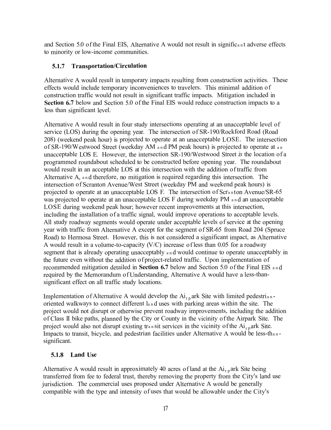and Section 5.0 of the Final EIS, Alternative A would not result in significant adverse effects to minority or low-income communities.

### **5.1.7 Transportation/Circulation**

Alternative A would result in temporary impacts resulting from construction activities. These effects would include temporary inconveniences to travelers. This minimal addition of construction traffic would not result in significant traffic impacts. Mitigation included in **Section 6.7** below and Section 5.0 of the Final EIS would reduce construction impacts to a less than significant level.

Alternative A would result in four study intersections operating at an unacceptable level of service (LOS) during the opening year. The intersection of SR-190/Rockford Road (Road 208) (weekend peak hour) is projected to operate at an unacceptable LOSE. The intersection of SR-190/W estwood Street (weekday AM and PM peak hours) is projected to operate at an unacceptable LOS E. However, the intersection SR-190/Westwood Street *is* the location of a programmed roundabout scheduled to be constructed before opening year. The roundabout would result in an acceptable LOS at this intersection with the addition of traffic from Alternative A, and therefore, no mitigation is required regarding this intersection. The intersection of Scranton Avenue/West Street (weekday PM and weekend peak hours) is projected to operate at an unacceptable LOS F. The intersection of Scranton Avenue/SR-65 was projected to operate at an unacceptable LOS F during weekday PM and an unacceptable LOSE during weekend peak hour; however recent improvements at this intersection, including the installation of a traffic signal, would improve operations to acceptable levels. All study roadway segments would operate under acceptable levels of service at the opening year with traffic from Alternative A except for the segment of SR-65 from Road 204 (Spruce Road) to Hermosa Street. However, this is not considered a significant impact, as Alternative A would result in a volume-to-capacity  $(V/C)$  increase of less than 0.05 for a roadway segment that is already operating unacceptably  $a_n d$  would continue to operate unacceptably in the future even without the addition of project-related traffic. Upon implementation of recommended mitigation detailed in **Section 6.7** below and Section 5.0 of the Final EIS <sup>a</sup> <sup>n</sup> d required by the Memorandum of Understanding, Alternative A would have a less-thansignificant effect on all traffic study locations.

Implementation of Alternative A would develop the  $Ai_{r,p}$  ark Site with limited pedestrianoriented walkways to connect different l<sup>a</sup> <sup>n</sup> d uses with parking areas within the site. The project would not disrupt or otherwise prevent roadway improvements, including the addition of Class II bike paths, planned by the City or County in the vicinity of the Airpark Site. The project would also not disrupt existing transit services in the vicinity of the  $Ai_{r,p}$ ark Site. Impacts to transit, bicycle, and pedestrian facilities under Alternative A would be less-th<sup>a</sup> <sup>n</sup> significant.

# **5.1.8 Land Use**

Alternative A would result in approximately 40 acres of land at the  $Ai_{r,p}$  ark Site being transferred from fee to federal trust, thereby removing the property from the City's land use jurisdiction. The commercial uses proposed under Alternative A would be generally compatible with the type and intensity of uses that would be allowable under the City's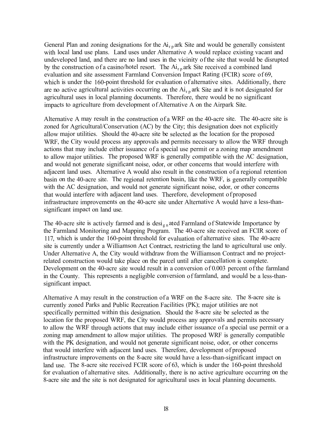General Plan and zoning designations for the  $Ai_{r,p}$  ark Site and would be generally consistent with local land use plans. Land uses under Alternative A would replace existing vacant and undeveloped land, and there are no land uses in the vicinity of the site that would be disrupted by the construction of a casino/hotel resort. The  $Ai_{r,p}$  ark Site received a combined land evaluation and site assessment Farmland Conversion Impact Rating (FCIR) score of 69, which is under the 160-point threshold for evaluation of alternative sites. Additionally, there are no active agricultural activities occurring on the  $Ai_{r,p}$  ark Site and it is not designated for agricultural uses in local planning documents. Therefore, there would be no significant impacts to agriculture from development of Alternative A on the Airpark Site.

Alternative A may result in the construction of a WRF on the 40-acre site. The 40-acre site is zoned for Agricultural/Conservation (AC) by the City; this designation does not explicitly allow major utilities. Should the 40-acre site be selected as the location for the proposed WRF, the City would process any approvals and permits necessary to allow the WRF through actions that may include either issuance of a special use permit or a zoning map amendment to allow major utilities. The proposed WRF is generally compatible with the AC designation, and would not generate significant noise, odor, or other concerns that would interfere with adjacent land uses. Alternative A would also result in the construction of a regional retention basin on the 40-acre site. The regional retention basin, like the WRF, is generally compatible with the AC designation, and would not generate significant noise, odor, or other concerns that would interfere with adjacent land uses. Therefore, development of proposed infrastructure improvements on the 40-acre site under Alternative A would have a less-thansignificant impact on land use.

The 40-acre site is actively farmed and is desi<sub>gn</sub> ated Farmland of Statewide Importance by the Farmland Monitoring and Mapping Program. The 40-acre site received an FCIR score of 117, which is under the 160-point threshold for evaluation of alternative sites. The 40-acre site is currently under a Williamson Act Contract, restricting the land to agricultural use only. Under Alternative A, the City would withdraw from the Williamson Contract and no projectrelated construction would take place on the parcel until after cancellation is complete. Development on the 40-acre site would result in a conversion of 0.003 percent of the farmland in the County. This represents a negligible conversion of farmland, and would be a less-thansignificant impact.

Alternative A may result in the construction of a WRF on the 8-acre site. The 8-acre site is currently zoned Parks and Public Recreation Facilities (PK); major utilities are not specifically permitted within this designation. Should the 8-acre site be selected as the location for the proposed WRF, the City would process any approvals and permits necessary to allow the WRF through actions that may include either issuance of a special use permit or a zoning map amendment to allow major utilities. The proposed WRF is generally compatible with the PK designation, and would not generate significant noise, odor, or other concerns that would interfere with adjacent land uses. Therefore, development of proposed infrastructure improvements on the 8-acre site would have a less-than-significant impact on land use. The 8-acre site received FCIR score of 63, which is under the 160-point threshold for evaluation of alternative sites. Additionally, there is no active agriculture occurring on the 8-acre site and the site is not designated for agricultural uses in local planning documents.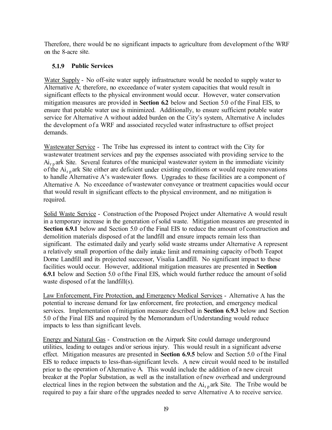Therefore, there would be no significant impacts to agriculture from development of the WRF on the 8-acre site.

### **5.1.9 Public Services**

Water Supply - No off-site water supply infrastructure would be needed to supply water to Alternative A; therefore, no exceedance of water system capacities that would result in significant effects to the physical environment would occur. However, water conservation mitigation measures are provided in **Section 6.2** below and Section 5.0 of the Final EIS, to ensure that potable water use is minimized. Additionally, to ensure sufficient potable water service for Alternative A without added burden on the City's system, Alternative A includes the development of a WRF and associated recycled water infrastructure to offset project demands.

Wastewater Service - The Tribe has expressed its intent to contract with the City for wastewater treatment services and pay the expenses associated with providing service to the  $Ai_{rp}$  ark Site. Several features of the municipal wastewater system in the immediate vicinity of the  $Ai_{r,p}$  ark Site either are deficient under existing conditions or would require renovations to handle Alternative A's wastewater flows. Upgrades to these facilities are a component of Alternative A. No exceedance of wastewater conveyance or treatment capacities would occur that would result in significant effects to the physical environment, and no mitigation is required.

Solid Waste Service - Construction of the Proposed Project under Alternative A would result in a temporary increase in the generation of solid waste. Mitigation measures are presented in **Section 6.9.1** below and Section 5.0 of the Final EIS to reduce the amount of construction and demolition materials disposed of at the landfill and ensure impacts remain less than significant. The estimated daily and yearly solid waste streams under Alternative A represent a relatively small proportion of the daily intake limit and remaining capacity of both Teapot Dorne Landfill and its projected successor, Visalia Landfill. No significant impact to these facilities would occur. However, additional mitigation measures are presented in **Section 6.9.1** below and Section 5.0 of the Final EIS, which would further reduce the amount of solid waste disposed of at the landfill(s).

Law Enforcement, Fire Protection, and Emergency Medical Services - Alternative A has the potential to increase demand for law enforcement, fire protection, and emergency medical services. Implementation of mitigation measure described in **Section 6.9.3** below and Section 5.0 of the Final EIS and required by the Memorandum of Understanding would reduce impacts to less than significant levels.

Energy and Natural Gas - Construction on the Airpark Site could damage underground utilities, leading to outages and/or serious injury. This would result in a significant adverse effect. Mitigation measures are presented in **Section 6.9.5** below and Section 5.0 of the Final EIS to reduce impacts to less-than-significant levels. A new circuit would need to be installed prior to the operation of Alternative A. This would include the addition of a new circuit breaker at the Poplar Substation, as well as the installation of new overhead and underground electrical lines in the region between the substation and the  $Ai_{r,n}$  ark Site. The Tribe would be required to pay a fair share of the upgrades needed to serve Alternative A to receive service.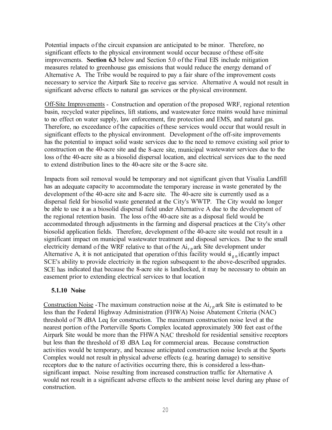Potential impacts of the circuit expansion are anticipated to be minor. Therefore, no significant effects to the physical environment would occur because of these off-site improvements. **Section 6.3** below and Section 5.0 of the Final EIS include mitigation measures related to greenhouse gas emissions that would reduce the energy demand of Alternative A. The Tribe would be required to pay a fair share of the improvement costs necessary to service the Airpark Site to receive gas service. Alternative A would not result in significant adverse effects to natural gas services or the physical environment.

Off-Site Improvements - Construction and operation of the proposed WRF, regional retention basin, recycled water pipelines, lift stations, and wastewater force mains would have minimal to no effect on water supply, law enforcement, fire protection and EMS, and natural gas. Therefore, no exceedance of the capacities of these services would occur that would result in significant effects to the physical environment. Development of the off-site improvements has the potential to impact solid waste services due to the need to remove existing soil prior to construction on the 40-acre site and the 8-acre site, municipal wastewater services due to the loss of the 40-acre site as a biosolid dispersal location, and electrical services due to the need to extend distribution lines to the 40-acre site or the 8-acre site.

Impacts from soil removal would be temporary and not significant given that Visalia Landfill has an adequate capacity to accommodate the temporary increase in waste generated by the development of the 40-acre site and 8-acre site. The 40-acre site is currently used as a dispersal field for biosolid waste generated at the City's WWTP. The City would no longer be able to use it as a biosolid dispersal field under Alternative A due to the development of the regional retention basin. The loss of the 40-acre site as a disposal field would be accommodated through adjustments in the farming and dispersal practices at the City's other biosolid application fields. Therefore, development of the 40-acre site would not result in a significant impact on municipal wastewater treatment and disposal services. Due to the small electricity demand of the WRF relative to that of the  $Ai_{r,p}$  ark Site development under Alternative A, it is not anticipated that operation of this facility would  $\sin \theta$  ificantly impact SCE's ability to provide electricity in the region subsequent to the above-described upgrades. SCE has indicated that because the 8-acre site is landlocked, it may be necessary to obtain an easement prior to extending electrical services to that location

#### **5.1.10 Noise**

Construction Noise -The maximum construction noise at the  $Ai_{rp}$  ark Site is estimated to be less than the Federal Highway Administration (FHW A) Noise Abatement Criteria (NAC) threshold of 78 dBA Leq for construction. The maximum construction noise level at the nearest portion of the Porterville Sports Complex located approximately 300 feet east of the Airpark Site would be more than the FHW A NAC threshold for residential sensitive receptors but less than the threshold of 83 dBA Leq for commercial areas. Because construction activities would be temporary, and because anticipated construction noise levels at the Sports Complex would not result in physical adverse effects (e.g. hearing damage) to sensitive receptors due to the nature of activities occurring there, this is considered a less-thansignificant impact. Noise resulting from increased construction traffic for Alternative A would not result in a significant adverse effects to the ambient noise level during any phase of construction.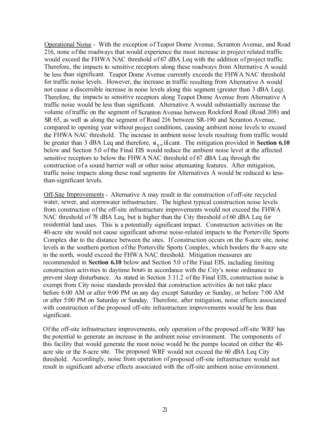Operational Noise - With the exception of Teapot Dome Avenue, Scranton Avenue, and Road 216, none of the roadways that would experience the most increase in project related traffic would exceed the FHWA NAC threshold of 67 dBA Leq with the addition of project traffic. Therefore, the impacts to sensitive receptors along these roadways from Alternative A would be less than significant. Teapot Dome Avenue currently exceeds the FHWA NAC threshold for traffic noise levels. However, the increase in traffic resulting from Alternative A would not cause a discernible increase in noise levels along this segment (greater than 3 dBA Leq). Therefore, the impacts to sensitive receptors along Teapot Dome Avenue from Alternative A traffic noise would be less than significant. Alternative A would substantially increase the volume of traffic on the segment of Scranton A venue between Rockford Road (Road 208) and SR 65, as well as along the segment of Road 216 between SR-190 and Scranton Avenue, compared to opening year without project conditions, causing ambient noise levels to exceed the FHWA NAC threshold. The increase in ambient noise levels resulting from traffic would be greater than 3 dBA Leq and therefore,  $\vec{a}_{g}$  ificant. The mitigation provided in **Section 6.10** below and Section 5.0 of the Final EIS would reduce the ambient noise level at the affected sensitive receptors to below the FHW A NAC threshold of 67 dBA Leq through the construction of a sound barrier wall or other noise attenuating features. After mitigation, traffic noise impacts along these road segments for Alternatives A would be reduced to lessthan-significant levels.

Off-Site Improvements - Alternative A may result in the construction of off-site recycled water, sewer, and storrnwater infrastructure. The highest typical construction noise levels from construction of the off-site infrastructure improvements would not exceed the FHWA NAC threshold of 78 dBA Leq, but is higher than the City threshold of 60 dBA Leq for residential land uses. This is a potentially significant impact. Construction activities on the 40-acre site would not cause significant adverse noise-related impacts to the Porterville Sports Complex due to the distance between the sites. If construction occurs on the 8-acre site, noise levels in the southern portion of the Porterville Sports Complex, which borders the 8-acre site to the north, would exceed the FHW A NAC threshold. Mitigation measures are recommended in **Section 6.10** below and Section 5.0 of the Final EIS, including limiting construction activities to daytime hours in accordance with the City's noise ordinance to prevent sleep disturbance. As stated in Section 3 .11.2 of the Final EIS, construction noise is exempt from City noise standards provided that construction activities do not take place before 6:00 AM or after 9:00 PM on any day except Saturday or Sunday, or before 7:00 AM or after 5:00 PM on Saturday or Sunday. Therefore, after mitigation, noise effects associated with construction of the proposed off-site infrastructure improvements would be less than significant.

Of the off-site infrastructure improvements, only operation of the proposed off-site WRF has the potential to generate an increase in the ambient noise environment. The components of this facility that would generate the most noise would be the pumps located on either the 40 acre site or the 8-acre site. The proposed WRF would not exceed the 60 dBA Leq City threshold. Accordingly, noise from operation of proposed off-site infrastructure would not result in significant adverse effects associated with the off-site ambient noise environment.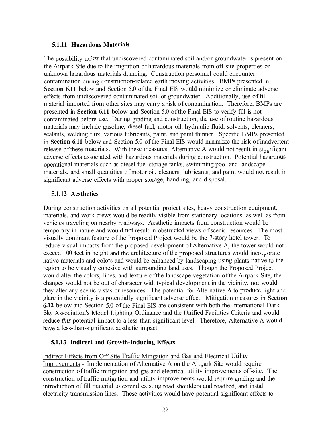#### **5.1.11 Hazardous Materials**

The possibility *exists* that undiscovered contaminated soil and/or groundwater is present on the Airpark Site due to the migration of hazardous materials from off-site properties or unknown hazardous materials dumping. Construction personnel could encounter contamination during construction-related earth moving activities. BMPs presented in **Section 6.11** below and Section 5.0 of the Final EIS would minimize or eliminate adverse effects from undiscovered contaminated soil or groundwater. Additionally, use of fill material imported from other sites may carry a risk of contamination. Therefore, BMPs are presented in **Section 6.11** below and Section 5.0 of the Final EIS to verify fill is not contaminated before use. During grading and construction, the use of routine hazardous materials may include gasoline, diesel fuel, motor oil, hydraulic fluid, solvents, cleaners, sealants, welding flux, various lubricants, paint, and paint thinner. Specific BMPs presented in **Section 6.11** below and Section 5.0 of the Final EIS would minimize the risk of inadvertent release of these materials. With these measures, Alternative A would not result in  $\sin \theta$  ificant adverse effects associated with hazardous materials during construction. Potential hazardous operational materials such as diesel fuel storage tanks, swimming pool and landscape materials, and small quantities of motor oil, cleaners, lubricants, and paint would not result in significant adverse effects with proper storage, handling, and disposal.

### **5.1.12 Aesthetics**

During construction activities on all potential project sites, heavy construction equipment, materials, and work crews would be readily visible from stationary locations, as well as from vehicles traveling on nearby roadways. Aesthetic impacts from construction would be temporary in nature and would not result in obstructed views of scenic resources. The most visually dominant feature of the Proposed Project would be the 7-story hotel tower. To reduce visual impacts from the proposed development of Alternative A, the tower would not exceed 100 feet in height and the architecture of the proposed structures would inco<sub>rp</sub> orate native materials and colors and would be enhanced by landscaping using plants native to the region to be visually cohesive with surrounding land uses. Though the Proposed Project would alter the colors, lines, and texture of the landscape vegetation of the Airpark Site, the changes would not be out of character with typical development in the vicinity, nor would they alter any scenic vistas or resources. The potential for Alternative A to produce light and glare in the vicinity is a potentially significant adverse effect. Mitigation measures in **Section 6.12** below and Section 5.0 of the Final EIS are consistent with both the International Dark Sky Association's Model Lighting Ordinance and the Unified Facilities Criteria and would reduce *this* potential impact to a less-than-significant level. Therefore, Alternative A would have a less-than-significant aesthetic impact.

# **5.1.13 Indirect and Growth-Inducing Effects**

Indirect Effects from Off-Site Traffic Mitigation and Gas and Electrical Utility Improvements - Implementation of Alternative A on the  $Ai_{r,p}$  ark Site would require construction of traffic mitigation and gas and electrical utility improvements off-site. The construction of traffic mitigation and utility improvements would require grading and the introduction of fill material to extend existing road shoulders and roadbed, and install electricity transmission lines. These activities would have potential significant effects to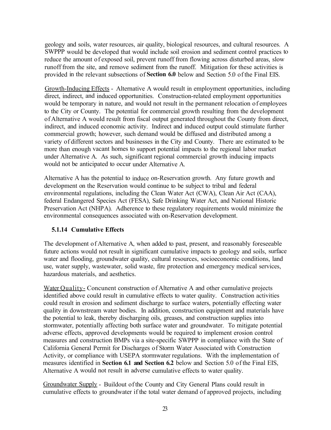geology and soils, water resources, air quality, biological resources, and cultural resources. A SWPPP would be developed that would include soil erosion and sediment control practices to reduce the amount of exposed soil, prevent runoff from flowing across disturbed areas, slow runoff from the site, and remove sediment from the runoff. Mitigation for these activities is provided in the relevant subsections of **Section 6.0** below and Section 5 .0 of the Final EIS.

Growth-Inducing Effects - Alternative A would result in employment opportunities, including direct, indirect, and induced opportunities. Construction-related employment opportunities would be temporary in nature, and would not result in the permanent relocation of employees to the City or County. The potential for commercial growth resulting from the development of Alternative A would result from fiscal output generated throughout the County from direct, indirect, and induced economic activity. Indirect and induced output could stimulate further commercial growth; however, such demand would be diffused and distributed among a variety of different sectors and businesses in the City and County. There are estimated to be more than enough vacant homes to support potential impacts to the regional labor market under Alternative A. As such, significant regional commercial growth inducing impacts would not be anticipated to occur under Alternative A.

Alternative A has the potential to induce on-Reservation growth. Any future growth and development on the Reservation would continue to be subject to tribal and federal environmental regulations, including the Clean Water Act (CWA), Clean Air Act (CAA), federal Endangered Species Act (FESA), Safe Drinking Water Act, and National Historic Preservation Act (NHP A). Adherence to these regulatory requirements would minimize the environmental consequences associated with on-Reservation development.

# **5.1.14 Cumulative Effects**

The development of Alternative A, when added to past, present, and reasonably foreseeable future actions would not result in significant cumulative impacts to geology and soils, surface water and flooding, groundwater quality, cultural resources, socioeconomic conditions, land use, water supply, wastewater, solid waste, fire protection and emergency medical services, hazardous materials, and aesthetics.

Water Quality- Concunent construction of Alternative A and other cumulative projects identified above could result in cumulative effects to water quality. Construction activities could result in erosion and sediment discharge to surface waters, potentially effecting water quality in downstream water bodies. In addition, construction equipment and materials have the potential to leak, thereby discharging oils, greases, and construction supplies into stormwater, potentially affecting both surface water and groundwater. To mitigate potential adverse effects, approved developments would be required to implement erosion control measures and construction BMPs via a site-specific SWPPP in compliance with the State of California General Permit for Discharges of Storm Water Associated with Construction Activity, or compliance with USEPA stormwater regulations. With the implementation of measures identified in **Section 6.1 and Section 6.2** below and Section 5.0 of the Final EIS, Alternative A would not result in adverse cumulative effects to water quality.

Groundwater Supply - Buildout of the County and City General Plans could result in cumulative effects to groundwater if the total water demand of approved projects, including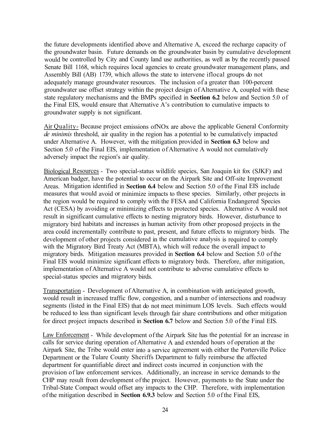the future developments identified above and Alternative A, exceed the recharge capacity of the groundwater basin. Future demands on the groundwater basin by cumulative development would be controlled by City and County land use authorities, as well as by the recently passed Senate Bill 1168, which requires local agencies to create groundwater management plans, and Assembly Bill (AB) 1739, which allows the state to intervene iflocal groups do not adequately manage groundwater resources. The inclusion of a greater than 100-percent groundwater use offset strategy within the project design of Alternative A, coupled with these state regulatory mechanisms and the BMPs specified in **Section 6.2** below and Section 5.0 of the Final EIS, would ensure that Alternative A's contribution to cumulative impacts to groundwater supply is not significant.

Air Quality- Because project emissions ofNOx are above the applicable General Conformity *de minimis* threshold, air quality in the region has a potential to be cumulatively impacted under Alternative A. However, with the mitigation provided in **Section 6.3** below and Section 5.0 of the Final EIS, implementation of Alternative A would not cumulatively adversely impact the region's air quality.

Biological Resources - Two special-status wildlife species, San Joaquin kit fox (SJKF) and American badger, have the potential to occur on the Airpark Site and Off-site Improvement Areas. Mitigation identified in **Section 6.4** below and Section 5.0 of the Final EIS include measures that would avoid or minimize impacts to these species. Similarly, other projects in the region would be required to comply with the FESA and California Endangered Species Act (CESA) by avoiding or minimizing effects to protected species. Alternative A would not result in significant cumulative effects to nesting migratory birds. However, disturbance to migratory bird habitats and increases in human activity from other proposed projects in the area could incrementally contribute to past, present, and future effects to migratory birds. The development of other projects considered in the cumulative analysis is required to comply with the Migratory Bird Treaty Act (MBTA), which will reduce the overall impact to migratory birds. Mitigation measures provided in **Section 6.4** below and Section 5.0 of the Final EIS would minimize significant effects to migratory birds. Therefore, after mitigation, implementation of Alternative A would not contribute to adverse cumulative effects to special-status species and migratory birds.

Transportation - Development of Alternative A, in combination with anticipated growth, would result in increased traffic flow, congestion, and a number of intersections and roadway segments (listed in the Final EIS) that do not meet minimum LOS levels. Such effects would be reduced to less than significant levels through fair share contributions and other mitigation for direct project impacts described in **Section 6.7** below and Section 5.0 of the Final EIS.

Law Enforcement - While development of the Airpark Site has the potential for an increase in calls for service during operation of Alternative A and extended hours of operation at the Airpark Site, the Tribe would enter into a service agreement with either the Porterville Police Department or the Tulare County Sheriffs Department to fully reimburse the affected department for quantifiable direct and indirect costs incurred in conjunction with the provision of law enforcement services. Additionally, an increase in service demands to the CHP may result from development of the project. However, payments to the State under the Tribal-State Compact would offset any impacts to the CHP. Therefore, with implementation of the mitigation described in **Section 6.9.3** below and Section 5.0 of the Final EIS,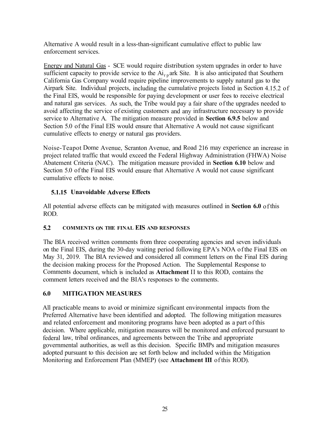Alternative A would result in a less-than-significant cumulative effect to public law enforcement services.

Energy and Natural Gas - SCE would require distribution system upgrades in order to have sufficient capacity to provide service to the  $Ai_{r,p}$  ark Site. It is also anticipated that Southern California Gas Company would require pipeline improvements to supply natural gas to the Airpark Site. Individual projects, including the cumulative projects listed in Section 4.15.2 of the Final EIS, would be responsible for paying development or user fees to receive electrical and natural gas services. As such, the Tribe would pay a fair share of the upgrades needed to avoid affecting the service of existing customers and any infrastructure necessary to provide service to Alternative A. The mitigation measure provided in **Section 6.9.5** below and Section 5.0 of the Final EIS would ensure that Alternative A would not cause significant cumulative effects to energy or natural gas providers.

Noise-Teapot Dome Avenue, Scranton Avenue, and Road 216 may experience an increase in project related traffic that would exceed the Federal Highway Administration (FHWA) Noise Abatement Criteria (NAC). The mitigation measure provided in **Section 6.10** below and Section 5.0 of the Final EIS would ensure that Alternative A would not cause significant cumulative effects to noise.

# **5.1.15 Unavoidable Adverse Effects**

All potential adverse effects can be mitigated with measures outlined in **Section 6.0** of this ROD.

# **5.2 COMMENTS ON THE FINAL EIS AND RESPONSES**

The BIA received written comments from three cooperating agencies and seven individuals on the Final EIS, during the 30-day waiting period following EPA's NOA of the Final EIS on May 31, 2019. The BIA reviewed and considered all comment letters on the Final EIS during the decision making process for the Proposed Action. The Supplemental Response to Comments document, which is included as **Attachment** II to this ROD, contains the comment letters received and the BIA's responses to the comments.

# **6.0 MITIGATION MEASURES**

All practicable means to avoid or minimize significant environmental impacts from the Preferred Alternative have been identified and adopted. The following mitigation measures and related enforcement and monitoring programs have been adopted as a part of this decision. Where applicable, mitigation measures will be monitored and enforced pursuant to federal law, tribal ordinances, and agreements between the Tribe and appropriate governmental authorities, as well as this decision. Specific BMPs and mitigation measures adopted pursuant to this decision are set forth below and included within the Mitigation Monitoring and Enforcement Plan (MMEP) (see **Attachment III** of this ROD).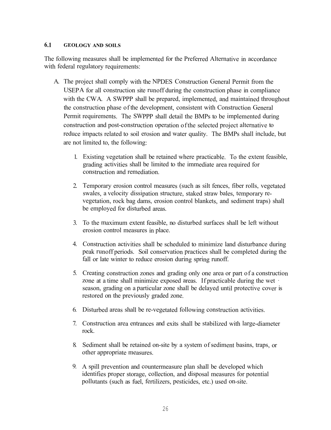#### **6.1 GEOLOGY AND SOILS**

The following measures shall be implemented for the Preferred Alternative in accordance with federal regulatory requirements:

- A. The project shall comply with the NPDES Construction General Permit from the USEPA for all construction site runoff during the construction phase in compliance with the CWA. A SWPPP shall be prepared, implemented, and maintained throughout the construction phase of the development, consistent with Construction General Permit requirements. The SWPPP shall detail the BMPs to be implemented during construction and post-construction operation of the selected project alternative to reduce impacts related to soil erosion and water quality. The BMPs shall include, but are not limited to, the following:
	- 1. Existing vegetation shall be retained where practicable. To the extent feasible, grading activities shall be limited to the immediate area required for construction and remediation.
	- 2. Temporary erosion control measures (such as silt fences, fiber rolls, vegetated swales, a velocity dissipation structure, staked straw bales, temporary revegetation, rock bag dams, erosion control blankets, and sediment traps) shall be employed for disturbed areas.
	- 3. To the maximum extent feasible, no disturbed surfaces shall be left without erosion control measures in place.
	- 4. Construction activities shall be scheduled to minimize land disturbance during peak runoff periods. Soil conservation practices shall be completed during the fall or late winter to reduce erosion during spring runoff.
	- 5. Creating construction zones and grading only one area or part of a construction zone at a time shall minimize exposed areas. If practicable during the wet season, grading on a particular zone shall be delayed until protective cover is restored on the previously graded zone.
	- 6. Disturbed areas shall be re-vegetated following construction activities.
	- 7. Construction area entrances and exits shall be stabilized with large-diameter rock.
	- 8. Sediment shall be retained on-site by a system of sediment basins, traps, or other appropriate measures.
	- 9. A spill prevention and countermeasure plan shall be developed which identifies proper storage, collection, and disposal measures for potential pollutants (such as fuel, fertilizers, pesticides, etc.) used on-site.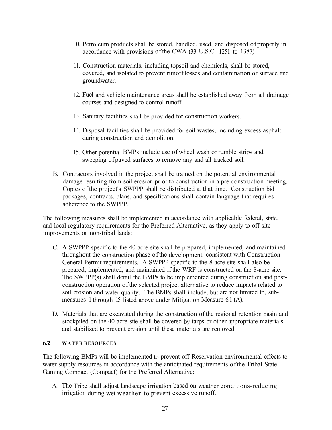- 10. Petroleum products shall be stored, handled, used, and disposed of properly in accordance with provisions of the CWA (33 U.S.C. 1251 to 1387).
- 11. Construction materials, including topsoil and chemicals, shall be stored, covered, and isolated to prevent runoff losses and contamination of surface and groundwater.
- 12. Fuel and vehicle maintenance areas shall be established away from all drainage courses and designed to control runoff.
- 13. Sanitary facilities shall be provided for construction workers.
- 14. Disposal facilities shall be provided for soil wastes, including excess asphalt during construction and demolition.
- 15. Other potential BMPs include use of wheel wash or rumble strips and sweeping of paved surfaces to remove any and all tracked soil.
- B. Contractors involved in the project shall be trained on the potential environmental damage resulting from soil erosion prior to construction in a pre-construction meeting. Copies of the project's SWPPP shall be distributed at that time. Construction bid packages, contracts, plans, and specifications shall contain language that requires adherence to the SWPPP.

The following measures shall be implemented in accordance with applicable federal, state, and local regulatory requirements for the Preferred Alternative, as they apply to off-site improvements on non-tribal lands:

- C. A SWPPP specific to the 40-acre site shall be prepared, implemented, and maintained throughout the construction phase of the development, consistent with Construction General Permit requirements. A SWPPP specific to the 8-acre site shall also be prepared, implemented, and maintained if the WRF is constructed on the 8-acre site. The SWPPP(s) shall detail the BMPs to be implemented during construction and postconstruction operation of the selected project alternative to reduce impacts related to soil erosion and water quality. The BMPs shall include, but are not limited to, submeasures 1 through 15 listed above under Mitigation Measure 6.1 (A).
- D. Materials that are excavated during the construction of the regional retention basin and stockpiled on the 40-acre site shall be covered by tarps or other appropriate materials and stabilized to prevent erosion until these materials are removed.

#### **6.2 WATER RESOURCES**

The following BMPs will be implemented to prevent off-Reservation environmental effects to water supply resources in accordance with the anticipated requirements of the Tribal State Gaming Compact (Compact) for the Preferred Alternative:

A. The Tribe shall adjust landscape irrigation based on weather conditions-reducing irrigation during wet weather-to prevent excessive runoff.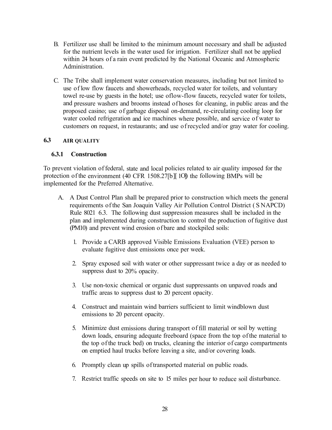- B. Fertilizer use shall be limited to the minimum amount necessary and shall be adjusted for the nutrient levels in the water used for irrigation. Fertilizer shall not be applied within 24 hours of a rain event predicted by the National Oceanic and Atmospheric Administration.
- C. The Tribe shall implement water conservation measures, including but not limited to use of low flow faucets and showerheads, recycled water for toilets, and voluntary towel re-use by guests in the hotel; use oflow-flow faucets, recycled water for toilets, and pressure washers and brooms instead of hoses for cleaning, in public areas and the proposed casino; use of garbage disposal on-demand, re-circulating cooling loop for water cooled refrigeration and ice machines where possible, and service of water to customers on request, in restaurants; and use of recycled and/or gray water for cooling.

### **6.3 AIR QUALITY**

### **6.3.1 Construction**

To prevent violation of federal, state and local policies related to air quality imposed for the protection of the environment  $(40 \text{ CFR } 1508.27 \text{ [b]}$  [10]) the following BMPs will be implemented for the Preferred Alternative.

- A. A Dust Control Plan shall be prepared prior to construction which meets the general requirements of the San Joaquin Valley Air Pollution Control District (SNAPCD) Rule 8021 6.3. The following dust suppression measures shall be included in the plan and implemented during construction to control the production of fugitive dust (PM10) and prevent wind erosion of bare and stockpiled soils:
	- 1. Provide a CARB approved Visible Emissions Evaluation (VEE) person to evaluate fugitive dust emissions once per week.
	- 2. Spray exposed soil with water or other suppressant twice a day or as needed to suppress dust to 20% opacity.
	- 3. Use non-toxic chemical or organic dust suppressants on unpaved roads and traffic areas to suppress dust to 20 percent opacity.
	- 4. Construct and maintain wind barriers sufficient to limit windblown dust emissions to 20 percent opacity.
	- 5. Minimize dust emissions during transport of fill material or soil by wetting down loads, ensuring adequate freeboard (space from the top of the material to the top of the truck bed) on trucks, cleaning the interior of cargo compartments on emptied haul trucks before leaving a site, and/or covering loads.
	- 6. Promptly clean up spills of transported material on public roads.
	- 7. Restrict traffic speeds on site to 15 miles per hour to reduce soil disturbance.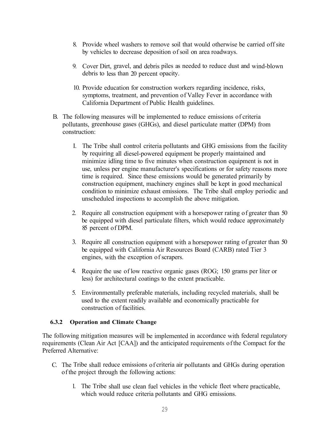- 8. Provide wheel washers to remove soil that would otherwise be carried off site by vehicles to decrease deposition of soil on area roadways.
- 9. Cover Dirt, gravel, and debris piles as needed to reduce dust and wind-blown debris to less than 20 percent opacity.
- 10. Provide education for construction workers regarding incidence, risks, symptoms, treatment, and prevention of Valley Fever in accordance with California Department of Public Health guidelines.
- B. The following measures will be implemented to reduce emissions of criteria pollutants, greenhouse gases (GHGs), and diesel particulate matter (DPM) from construction:
	- I. The Tribe shall control criteria pollutants and GHG emissions from the facility by requiring all diesel-powered equipment be properly maintained and minimize idling time to five minutes when construction equipment is not in use, unless per engine manufacturer's specifications or for safety reasons more time is required. Since these emissions would be generated primarily by construction equipment, machinery engines shall be kept in good mechanical condition to minimize exhaust emissions. The Tribe shall employ periodic and unscheduled inspections to accomplish the above mitigation.
	- 2. Require all construction equipment with a horsepower rating of greater than 50 be equipped with diesel particulate filters, which would reduce approximately 85 percent of DPM.
	- 3. Require all construction equipment with a horsepower rating of greater than 50 be equipped with California Air Resources Board (CARB) rated Tier 3 engines, with the exception of scrapers.
	- 4. Require the use of low reactive organic gases (ROG; 150 grams per liter or less) for architectural coatings to the extent practicable.
	- 5. Environmentally preferable materials, including recycled materials, shall be used to the extent readily available and economically practicable for construction of facilities.

#### **6.3.2 Operation and Climate Change**

The following mitigation measures will be implemented in accordance with federal regulatory requirements (Clean Air Act [CAA]) and the anticipated requirements of the Compact for the Preferred Alternative:

- C. The Tribe shall reduce emissions of criteria air pollutants and GHGs during operation of the project through the following actions:
	- 1. The Tribe shall use clean fuel vehicles in the vehicle fleet where practicable, which would reduce criteria pollutants and GHG emissions.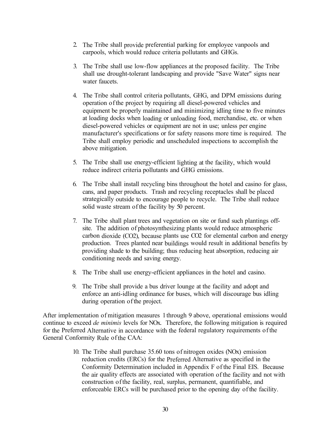- 2. The Tribe shall provide preferential parking for employee vanpools and carpools, which would reduce criteria pollutants and GHGs.
- 3. The Tribe shall use low-flow appliances at the proposed facility. The Tribe shall use drought-tolerant landscaping and provide "Save Water" signs near water faucets.
- 4. The Tribe shall control criteria pollutants, GHG, and DPM emissions during operation of the project by requiring all diesel-powered vehicles and equipment be properly maintained and minimizing idling time to five minutes at loading docks when loading or unloading food, merchandise, etc. or when diesel-powered vehicles or equipment are not in use; unless per engine manufacturer's specifications or for safety reasons more time is required. The Tribe shall employ periodic and unscheduled inspections to accomplish the above mitigation.
- 5. The Tribe shall use energy-efficient lighting at the facility, which would reduce indirect criteria pollutants and GHG emissions.
- 6. The Tribe shall install recycling bins throughout the hotel and casino for glass, cans, and paper products. Trash and recycling receptacles shall be placed strategically outside to encourage people to recycle. The Tribe shall reduce solid waste stream of the facility by 50 percent.
- 7. The Tribe shall plant trees and vegetation on site or fund such plantings offsite. The addition of photosynthesizing plants would reduce atmospheric carbon dioxide (CO2), because plants use CO2 for elemental carbon and energy production. Trees planted near buildings would result in additional benefits by providing shade to the building; thus reducing heat absorption, reducing air conditioning needs and saving energy.
- 8. The Tribe shall use energy-efficient appliances in the hotel and casino.
- 9. The Tribe shall provide a bus driver lounge at the facility and adopt and enforce an anti-idling ordinance for buses, which will discourage bus idling during operation of the project.

After implementation of mitigation measures 1 through 9 above, operational emissions would continue to exceed *de minimis* levels for NOx. Therefore, the following mitigation is required for the Preferred Alternative in accordance with the federal regulatory requirements of the General Conformity Rule of the CAA:

> 10. The Tribe shall purchase 35.60 tons of nitrogen oxides (NOx) emission reduction credits (ERCs) for the Preferred Alternative as specified in the Conformity Determination included in Appendix F of the Final EIS. Because the air quality effects are associated with operation of the facility and not with construction of the facility, real, surplus, permanent, quantifiable, and enforceable ERCs will be purchased prior to the opening day of the facility.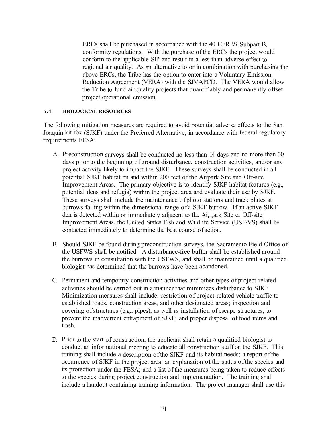ERCs shall be purchased in accordance with the 40 CFR 93 Subpart B, conformity regulations. With the purchase of the ERCs the project would conform to the applicable SIP and result in a less than adverse effect to regional air quality. As an alternative to or in combination with purchasing the above ERCs, the Tribe has the option to enter into a Voluntary Emission Reduction Agreement (VERA) with the SJV APCD. The VERA would allow the Tribe to fund air quality projects that quantifiably and permanently offset project operational emission.

#### **6.4 BIOLOGICAL RESOURCES**

The following mitigation measures are required to avoid potential adverse effects to the San Joaquin kit fox (SJKF) under the Preferred Alternative, in accordance with federal regulatory requirements FESA:

- A. Preconstruction surveys shall be conducted no less than 14 days and no more than 30 days prior to the beginning of ground disturbance, construction activities, and/or any project activity likely to impact the SJKF. These surveys shall be conducted in all potential SJKF habitat on and within 200 feet of the Airpark Site and Off-site Improvement Areas. The primary objective is to identify SJKF habitat features (e.g., potential dens and refugia) within the project area and evaluate their use by SJKF. These surveys shall include the maintenance of photo stations and track plates at burrows falling within the dimensional range of a SJKF burrow. If an active SJKF den is detected within or immediately adjacent to the  $Ai_{r,p}$  ark Site or Off-site Improvement Areas, the United States Fish and Wildlife Service (USF\VS) shall be contacted immediately to determine the best course of action.
- B. Should SJKF be found during preconstruction surveys, the Sacramento Field Office of the USFWS shall be notified. A disturbance-free buffer shall be established around the burrows in consultation with the USFWS, and shall be maintained until a qualified biologist has determined that the burrows have been abandoned.
- C. Permanent and temporary construction activities and other types of project-related activities should be carried out in a manner that minimizes disturbance to SJKF. Minimization measures shall include: restriction of project-related vehicle traffic to established roads, construction areas, and other designated areas; inspection and covering of structures (e.g., pipes), as well as installation of escape structures, to prevent the inadvertent entrapment of SJKF; and proper disposal of food items and trash.
- D. Prior to the start of construction, the applicant shall retain a qualified biologist to conduct an informational meeting to educate all construction staff on the SJKF. This training shall include a description of the SJKF and its habitat needs; a report of the occurrence of SJKF in the project area; an explanation of the status of the species and its protection under the FESA; and a list of the measures being taken to reduce effects to the species during project construction and implementation. The training shall include a handout containing training information. The project manager shall use this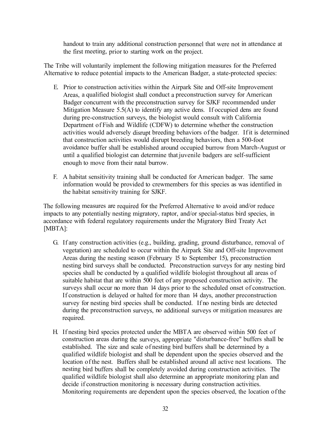handout to train any additional construction personnel that were not in attendance at the first meeting, prior to starting work on the project.

The Tribe will voluntarily implement the following mitigation measures for the Preferred Alternative to reduce potential impacts to the American Badger, a state-protected species:

- E. Prior to construction activities within the Airpark Site and Off-site Improvement Areas, a qualified biologist shall conduct a preconstruction survey for American Badger concurrent with the preconstruction survey for SJKF recommended under Mitigation Measure 5.5(A) to identify any active dens. If occupied dens are found during pre-construction surveys, the biologist would consult with California Department of Fish and Wildlife (CDFW) to determine whether the construction activities would adversely disrupt breeding behaviors of the badger. If it is determined that construction activities would disrupt breeding behaviors, then a 500-foot avoidance buffer shall be established around occupied burrow from March-August or until a qualified biologist can determine that juvenile badgers are self-sufficient enough to move from their natal burrow.
- F. A habitat sensitivity training shall be conducted for American badger. The same information would be provided to crewmembers for this species as was identified in the habitat sensitivity training for SJKF.

The following measures are required for the Preferred Alternative to avoid and/or reduce impacts to any potentially nesting migratory, raptor, and/or special-status bird species, in accordance with federal regulatory requirements under the Migratory Bird Treaty Act [MBTA]:

- G. If any construction activities (e.g., building, grading, ground disturbance, removal of vegetation) are scheduled to occur within the Airpark Site and Off-site Improvement Areas during the nesting season (February 15 to September 15), preconstruction nesting bird surveys shall be conducted. Preconstruction surveys for any nesting bird species shall be conducted by a qualified wildlife biologist throughout all areas of suitable habitat that are within 500 feet of any proposed construction activity. The surveys shall occur no more than 14 days prior to the scheduled onset of construction. If construction is delayed or halted for more than 14 days, another preconstruction survey for nesting bird species shall be conducted. If no nesting birds are detected during the preconstruction surveys, no additional surveys or mitigation measures are required.
- H. If nesting bird species protected under the MBT A are observed within 500 feet of construction areas during the surveys, appropriate "disturbance-free" buffers shall be established. The size and scale of nesting bird buffers shall be determined by a qualified wildlife biologist and shall be dependent upon the species observed and the location of the nest. Buffers shall be established around all active nest locations. The nesting bird buffers shall be completely avoided during construction activities. The qualified wildlife biologist shall also determine an appropriate monitoring plan and decide if construction monitoring is necessary during construction activities. Monitoring requirements are dependent upon the species observed, the location of the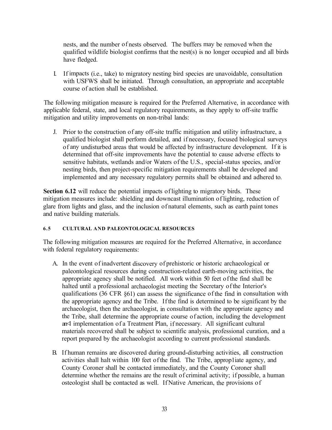nests, and the number of nests observed. The buffers may be removed when the qualified wildlife biologist confirms that the nest(s) is no longer occupied and all birds have fledged.

I. If impacts (i.e., take) to migratory nesting bird species are unavoidable, consultation with USFWS shall be initiated. Through consultation, an appropriate and acceptable course of action shall be established.

The following mitigation measure is required for the Preferred Alternative, in accordance with applicable federal, state, and local regulatory requirements, as they apply to off-site traffic mitigation and utility improvements on non-tribal lands:

J. Prior to the construction of any off-site traffic mitigation and utility infrastructure, a qualified biologist shall perform detailed, and if necessary, focused biological surveys of any undisturbed areas that would be affected by infrastructure development. If it is determined that off-site improvements have the potential to cause adverse effects to sensitive habitats, wetlands and/or Waters of the U.S., special-status species, and/or nesting birds, then project-specific mitigation requirements shall be developed and implemented and any necessary regulatory permits shall be obtained and adhered to.

**Section 6.12** will reduce the potential impacts of lighting to migratory birds. These mitigation measures include: shielding and downcast illumination of lighting, reduction of glare from lights and glass, and the inclusion of natural elements, such as earth paint tones and native building materials.

#### **6.5 CULTURAL AND PALEONTOLOGICAL RESOURCES**

The following mitigation measures are required for the Preferred Alternative, in accordance with federal regulatory requirements:

- A. In the event of inadvertent discovery of prehistoric or historic archaeological or paleontological resources during construction-related earth-moving activities, the appropriate agency shall be notified. All work within 50 feet of the find shall be halted until a professional archaeologist meeting the Secretary of the Interior's qualifications (36 CFR §61) can assess the significance of the find in consultation with the appropriate agency and the Tribe. If the find is determined to be significant by the archaeologist, then the archaeologist, in consultation with the appropriate agency and the Tribe, shall determine the appropriate course of action, including the development an<sup><1</sup> implementation of a Treatment Plan, if necessary. All significant cultural materials recovered shall be subject to scientific analysis, professional curation, and a report prepared by the archaeologist according to current professional standards.
- B. If human remains are discovered during ground-disturbing activities, all construction activities shall halt within 100 feet of the find. The Tribe, approp1iate agency, and County Coroner shall be contacted immediately, and the County Coroner shall determine whether the remains are the result of criminal activity; if possible, a human osteologist shall be contacted as well. If Native American, the provisions of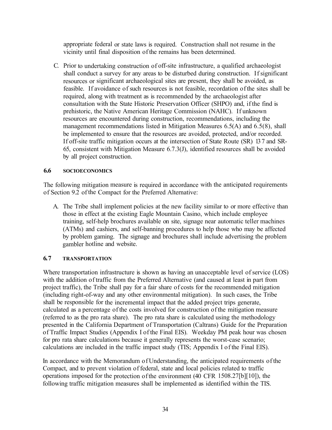appropriate federal or state laws is required. Construction shall not resume in the vicinity until final disposition of the remains has been determined.

C. Prior to undertaking construction of off-site infrastructure, a qualified archaeologist shall conduct a survey for any areas to be disturbed during construction. If significant resources or significant archaeological sites are present, they shall be avoided, as feasible. If avoidance of such resources is not feasible, recordation of the sites shall be required, along with treatment as is recommended by the archaeologist after consultation with the State Historic Preservation Officer (SHPO) and, if the find is prehistoric, the Native American Heritage Commission (NAHC). If unknown resources are encountered during construction, recommendations, including the management recommendations listed in Mitigation Measures 6.5(A) and 6.5(8), shall be implemented to ensure that the resources are avoided, protected, and/or recorded. If off-site traffic mitigation occurs at the intersection of State Route (SR) 13 7 and SR-65, consistent with Mitigation Measure 6.7.3(J), identified resources shall be avoided by all project construction.

#### **6.6 SOCIOECONOMICS**

The following mitigation measure is required in accordance with the anticipated requirements of Section 9.2 of the Compact for the Preferred Alternative:

A. The Tribe shall implement policies at the new facility similar to or more effective than those in effect at the existing Eagle Mountain Casino, which include employee training, self-help brochures available on site, signage near automatic teller machines (ATMs) and cashiers, and self-banning procedures to help those who may be affected by problem gaming. The signage and brochures shall include advertising the problem gambler hotline and website.

#### **6. 7 TRANSPORTATION**

Where transportation infrastructure is shown as having an unacceptable level of service (LOS) with the addition of traffic from the Preferred Alternative (and caused at least in part from project traffic), the Tribe shall pay for a fair share of costs for the recommended mitigation (including right-of-way and any other environmental mitigation). In such cases, the Tribe shall be responsible for the incremental impact that the added project trips generate, calculated as a percentage of the costs involved for construction of the mitigation measure (referred to as the pro rata share). The pro rata share is calculated using the methodology presented in the California Department of Transportation (Caltrans) Guide for the Preparation of Traffic Impact Studies (Appendix I of the Final EIS). Weekday PM peak hour was chosen for pro rata share calculations because it generally represents the worst-case scenario; calculations are included in the traffic impact study (TIS; Appendix I of the Final EIS).

In accordance with the Memorandum of Understanding, the anticipated requirements of the Compact, and to prevent violation of federal, state and local policies related to traffic operations imposed for the protection of the environment (40 CFR 1508.27[b][10]), the following traffic mitigation measures shall be implemented as identified within the TIS.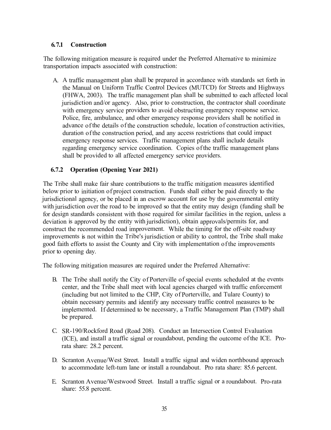# **6. 7.1 Construction**

The following mitigation measure is required under the Preferred Alternative to minimize transportation impacts associated with construction:

A. A traffic management plan shall be prepared in accordance with standards set forth in the Manual on Uniform Traffic Control Devices (MUTCD) for Streets and Highways (FHWA, 2003). The traffic management plan shall be submitted to each affected local jurisdiction and/or agency. Also, prior to construction, the contractor shall coordinate with emergency service providers to avoid obstructing emergency response service. Police, fire, ambulance, and other emergency response providers shall be notified in advance of the details of the construction schedule, location of construction activities, duration of the construction period, and any access restrictions that could impact emergency response services. Traffic management plans shall include details regarding emergency service coordination. Copies of the traffic management plans shall be provided to all affected emergency service providers.

# **6.7.2 Operation (Opening Year 2021)**

The Tribe shall make fair share contributions to the traffic mitigation measures identified below prior to initiation of project construction. Funds shall either be paid directly to the jurisdictional agency, or be placed in an escrow account for use by the governmental entity with jurisdiction over the road to be improved so that the entity may design (funding shall be for design standards consistent with those required for similar facilities in the region, unless a deviation is approved by the entity with jurisdiction), obtain approvals/permits for, and construct the recommended road improvement. While the timing for the off-site roadway improvements is not within the Tribe's jurisdiction or ability to control, the Tribe shall make good faith efforts to assist the County and City with implementation of the improvements prior to opening day.

The following mitigation measures are required under the Preferred Alternative:

- B. The Tribe shall notify the City of Porterville of special events scheduled at the events center, and the Tribe shall meet with local agencies charged with traffic enforcement (including but not limited to the CHP, City of Porterville, and Tulare County) to obtain necessary permits and identify any necessary traffic control measures to be implemented. If determined to be necessary, a Traffic Management Plan (TMP) shall be prepared.
- C. SR-190/Rockford Road (Road 208). Conduct an Intersection Control Evaluation (ICE), and install a traffic signal or roundabout, pending the outcome of the ICE. Prorata share: 28.2 percent.
- D. Scranton Avenue/West Street. Install a traffic signal and widen northbound approach to accommodate left-tum lane or install a roundabout. Pro rata share: 85.6 percent.
- E. Scranton A venue/Westwood Street. Install a traffic signal or a roundabout. Pro-rata share: 55.8 percent.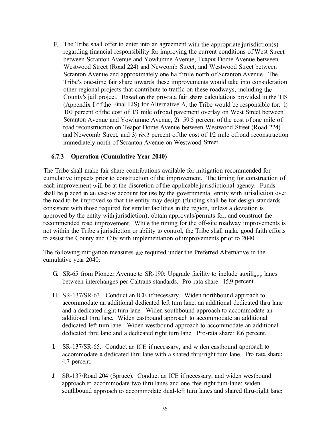F. The Tribe shall offer to enter into an agreement with the appropriate jurisdiction(s) regarding financial responsibility for improving the current conditions of West Street between Scranton Avenue and Yowlumne Avenue, Teapot Dome Avenue between Westwood Street (Road 224) and Newcomb Street, and Westwood Street between Scranton Avenue and approximately one half mile north of Scranton Avenue. The Tribe's one-time fair share towards these improvements would take into consideration other regional projects that contribute to traffic on these roadways, including the County's jail project. Based on the pro-rata fair share calculations provided in the TIS (Appendix I of the Final EIS) for Alternative A, the Tribe would be responsible for: 1) 100 percent of the cost of 1/3 mile ofroad pavement overlay on West Street between Scranton Avenue and Yowlumne Avenue, 2) 59.5 percent of the cost of one mile of road reconstruction on Teapot Dome Avenue between Westwood Street (Road 224) and Newcomb Street, and 3) 65.2 percent of the cost of 1/2 mile ofroad reconstruction immediately north of Scranton Avenue on Westwood Street.

#### **6.7.3 Operation (Cumulative Year 2040)**

The Tribe shall make fair share contributions available for mitigation recommended for cumulative impacts prior to construction of the improvement. The timing for construction of each improvement will be at the discretion of the applicable jurisdictional agency. Funds shall be placed in an escrow account for use by the governmental entity with jurisdiction over the road to be improved so that the entity may design (funding shall be for design standards consistent with those required for similar facilities in the region, unless a deviation is approved by the entity with jurisdiction), obtain approvals/permits for, and construct the recommended road improvement. While the timing for the off-site roadway improvements is not within the Tribe's jurisdiction or ability to control, the Tribe shall make good faith efforts to assist the County and City with implementation of improvements prior to 2040.

The following mitigation measures are required under the Preferred Alternative in the cumulative year 2040:

- G. SR-65 from Pioneer Avenue to SR-190: Upgrade facility to include auxili<sub>ary</sub> lanes between interchanges per Caltrans standards. Pro-rata share: 15.9 percent.
- H. SR-137/SR-63. Conduct an ICE if necessary. Widen northbound approach to accommodate an additional dedicated left tum lane, an additional dedicated thru lane and a dedicated right turn lane. Widen southbound approach to accommodate an additional thru lane. Widen eastbound approach to accommodate an additional dedicated left tum lane. Widen westbound approach to accommodate an additional dedicated thru lane and a dedicated right turn lane. Pro-rata share: 8.6 percent.
- I. SR-137/SR-65. Conduct an ICE if necessary, and widen eastbound approach to accommodate a dedicated thru lane with a shared thru/right tum lane. Pro rata share: 4.7 percent.
- J. SR-137/Road 204 (Spruce). Conduct an ICE if necessary, and widen westbound approach to accommodate two thru lanes and one free right tum-lane; widen southbound approach to accommodate dual-left turn lanes and shared thru-right lane;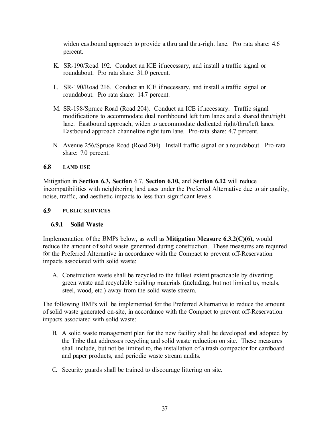widen eastbound approach to provide a thru and thru-right lane. Pro rata share: 4.6 percent.

- K. SR-190/Road 192. Conduct an ICE if necessary, and install a traffic signal or roundabout. Pro rata share: 31.0 percent.
- L. SR-190/Road 216. Conduct an ICE if necessary, and install a traffic signal or roundabout. Pro rata share: 14.7 percent.
- M. SR-198/Spruce Road (Road 204). Conduct an ICE if necessary. Traffic signal modifications to accommodate dual northbound left turn lanes and a shared thru/right lane. Eastbound approach, widen to accommodate dedicated right/thru/left lanes. Eastbound approach channelize right turn lane. Pro-rata share: 4.7 percent.
- N. Avenue 256/Spruce Road (Road 204). Install traffic signal or a roundabout. Pro-rata share: 7.0 percent.

#### **6.8 LAND USE**

Mitigation in **Section 6.3, Section** 6.7, **Section 6.10,** and **Section 6.12** will reduce incompatibilities with neighboring land uses under the Preferred Alternative due to air quality, noise, traffic, and aesthetic impacts to less than significant levels.

### **6.9 PUBLIC SERVICES**

# **6.9.1 Solid Waste**

Implementation of the BMPs below, as well as **Mitigation Measure 6.3.2(C)(6),** would reduce the amount of solid waste generated during construction. These measures are required for the Preferred Alternative in accordance with the Compact to prevent off-Reservation impacts associated with solid waste:

A. Construction waste shall be recycled to the fullest extent practicable by diverting green waste and recyclable building materials (including, but not limited to, metals, steel, wood, etc.) away from the solid waste stream.

The following BMPs will be implemented for the Preferred Alternative to reduce the amount of solid waste generated on-site, in accordance with the Compact to prevent off-Reservation impacts associated with solid waste:

- B. A solid waste management plan for the new facility shall be developed and adopted by the Tribe that addresses recycling and solid waste reduction on site. These measures shall include, but not be limited to, the installation of a trash compactor for cardboard and paper products, and periodic waste stream audits.
- C. Security guards shall be trained to discourage littering on site.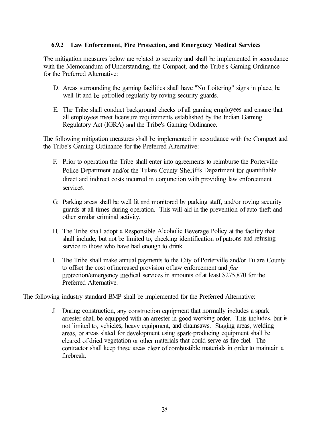### **6.9.2 Law Enforcement, Fire Protection, and Emergency Medical Services**

The mitigation measures below are related to security and shall be implemented in accordance with the Memorandum of Understanding, the Compact, and the Tribe's Gaming Ordinance for the Preferred Alternative:

- D. Areas surrounding the gaming facilities shall have ''No Loitering" signs in place, be well lit and be patrolled regularly by roving security guards.
- E. The Tribe shall conduct background checks of all gaming employees and ensure that all employees meet licensure requirements established by the Indian Gaming Regulatory Act (IGRA) and the Tribe's Gaming Ordinance.

The following mitigation measures shall be implemented in accordance with the Compact and the Tribe's Gaming Ordinance for the Preferred Alternative:

- F. Prior to operation the Tribe shall enter into agreements to reimburse the Porterville Police Department and/or the Tulare County Sheriffs Department for quantifiable direct and indirect costs incurred in conjunction with providing law enforcement services.
- G. Parking areas shall be well lit and monitored by parking staff, and/or roving security guards at all times during operation. This will aid in the prevention of auto theft and other similar criminal activity.
- H. The Tribe shall adopt a Responsible Alcoholic Beverage Policy at the facility that shall include, but not be limited to, checking identification of patrons and refusing service to those who have had enough to drink.
- I. The Tribe shall make annual payments to the City of Porterville and/or Tulare County to offset the cost of increased provision of law enforcement and *fue* protection/emergency medical services in amounts of at least \$275,870 for the Preferred Alternative.

The following industry standard BMP shall be implemented for the Preferred Alternative:

J. During construction, any construction equipment that normally includes a spark arrester shall be equipped with an arrester in good working order. This includes, but is not limited to, vehicles, heavy equipment, and chainsaws. Staging areas, welding areas, or areas slated for development using spark-producing equipment shall be cleared of dried vegetation or other materials that could serve as fire fuel. The contractor shall keep these areas clear of combustible materials in order to maintain a firebreak.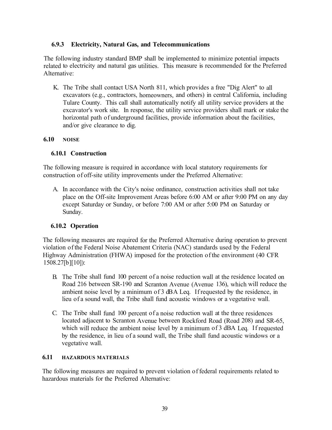# **6.9.3 Electricity, Natural Gas, and Telecommunications**

The following industry standard BMP shall be implemented to minimize potential impacts related to electricity and natural gas utilities. This measure is recommended for the Preferred Alternative:

K. The Tribe shall contact USA North 811, which provides a free "Dig Alert" to all excavators (e.g., contractors, homeowners, and others) in central California, including Tulare County. This call shall automatically notify all utility service providers at the excavator's work site. In response, the utility service providers shall mark or stake the horizontal path of underground facilities, provide information about the facilities, and/or give clearance to dig.

### **6.10 NOISE**

### **6.10.1 Construction**

The following measure is required in accordance with local statutory requirements for construction of off-site utility improvements under the Preferred Alternative:

A. In accordance with the City's noise ordinance, construction activities shall not take place on the Off-site Improvement Areas before 6:00 AM or after 9:00 PM on any day except Saturday or Sunday, or before 7:00 AM or after 5:00 PM on Saturday or Sunday.

# **6.10.2 Operation**

The following measures are required for the Preferred Alternative during operation to prevent violation of the Federal Noise Abatement Criteria (NAC) standards used by the Federal Highway Administration (FHW A) imposed for the protection of the environment ( 40 CFR 1508.27[b ][10]):

- B. The Tribe shall fund 100 percent of a noise reduction wall at the residence located on Road 216 between SR-190 and Scranton Avenue (Avenue 136), which will reduce the ambient noise level by a minimum of 3 dBA Leq. If requested by the residence, in lieu of a sound wall, the Tribe shall fund acoustic windows or a vegetative wall.
- C. The Tribe shall fund 100 percent of a noise reduction wall at the three residences located adjacent to Scranton Avenue between Rockford Road (Road 208) and SR-65, which will reduce the ambient noise level by a minimum of 3 dBA Leq. If requested by the residence, in lieu of a sound wall, the Tribe shall fund acoustic windows or a vegetative wall.

#### **6.11 HAZARDOUS MATERIALS**

The following measures are required to prevent violation of federal requirements related to hazardous materials for the Preferred Alternative: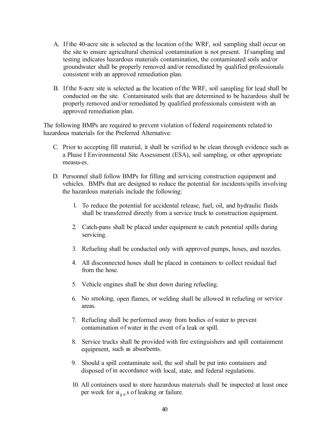- A. If the 40-acre site is selected as the location of the WRF, soil sampling shall occur on the site to ensure agricultural chemical contamination is not present. If sampling and testing indicates hazardous materials contamination, the contaminated soils and/or groundwater shall be properly removed and/or remediated by qualified professionals consistent with an approved remediation plan.
- B. If the 8-acre site is selected as the location of the WRF, soil sampling for lead shall be conducted on the site. Contaminated soils that are determined to be hazardous shall be properly removed and/or remediated by qualified professionals consistent with an approved remediation plan.

The following BMPs are required to prevent violation of federal requirements related to hazardous materials for the Preferred Alternative:

- C. Prior to accepting fill material, it shall be verified to be clean through evidence such as a Phase I Environmental Site Assessment (ESA), soil sampling, or other appropriate measui-es.
- D. Personnel shall follow BMPs for filling and servicing construction equipment and vehicles. BMPs that are designed to reduce the potential for incidents/spills involving the hazardous materials include the following:
	- 1. To reduce the potential for accidental release, fuel, oil, and hydraulic fluids shall be transferred directly from a service truck to construction equipment.
	- 2. Catch-pans shall be placed under equipment to catch potential spills during servicing.
	- 3. Refueling shall be conducted only with approved pumps, hoses, and nozzles.
	- 4. All disconnected hoses shall be placed in containers to collect residual fuel from the hose.
	- 5. Vehicle engines shall be shut down during refueling.
	- 6. No smoking, open flames, or welding shall be allowed in refueling or service areas.
	- 7. Refueling shall be performed away from bodies of water to prevent contamination of water in the event of a leak or spill.
	- 8. Service trucks shall be provided with fire extinguishers and spill containment equipment, such as absorbents.
	- 9. Should a spill contaminate soil, the soil shall be put into containers and disposed of in accordance with local, state, and federal regulations.
	- 10. All containers used to store hazardous materials shall be inspected at least once per week for  $si_{gn}$  s of leaking or failure.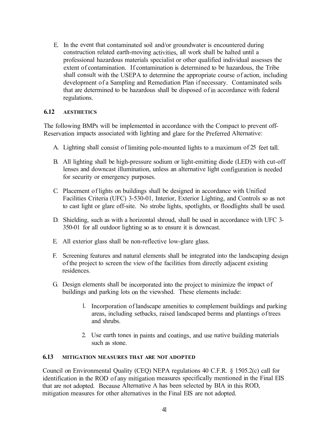E. In the event that contaminated soil and/or groundwater is encountered during construction related earth-moving activities, all work shall be halted until a professional hazardous materials specialist or other qualified individual assesses the extent of contamination. If contamination is determined to be hazardous, the Tribe shall consult with the USEPA to determine the appropriate course of action, including development of a Sampling and Remediation Plan if necessary. Contaminated soils that are determined to be hazardous shall be disposed of in accordance with federal regulations.

#### **6.12 AESTHETICS**

The following BMPs will be implemented in accordance with the Compact to prevent off-Reservation impacts associated with lighting and glare for the Preferred Alternative:

- A. Lighting shall consist of limiting pole-mounted lights to a maximum of 25 feet tall.
- B. All lighting shall be high-pressure sodium or light-emitting diode (LED) with cut-off lenses and downcast illumination, unless an alternative light configuration is needed for security or emergency purposes.
- C. Placement of lights on buildings shall be designed in accordance with Unified Facilities Criteria (UFC) 3-530-01, Interior, Exterior Lighting, and Controls so as not to cast light or glare off-site. No strobe lights, spotlights, or floodlights shall be used.
- D. Shielding, such as with a horizontal shroud, shall be used in accordance with UFC 3- 350-01 for all outdoor lighting so as to ensure it is downcast.
- E. All exterior glass shall be non-reflective low-glare glass.
- F. Screening features and natural elements shall be integrated into the landscaping design of the project to screen the view of the facilities from directly adjacent existing residences.
- G. Design elements shall be incorporated into the project to minimize the impact of buildings and parking lots on the viewshed. These elements include:
	- l. Incorporation of landscape amenities to complement buildings and parking areas, including setbacks, raised landscaped berms and plantings of trees and shrubs.
	- 2. Use earth tones in paints and coatings, and use native building materials such as stone.

#### **6.13 MITIGATION MEASURES THAT ARE NOT ADOPTED**

Council on Environmental Quality (CEQ) NEPA regulations 40 C.F.R. § 1505.2(c) call for identification in the ROD of any mitigation measures specifically mentioned in the Final EIS that are not adopted. Because Alternative A has been selected by BIA in this ROD, mitigation measures for other alternatives in the Final EIS are not adopted.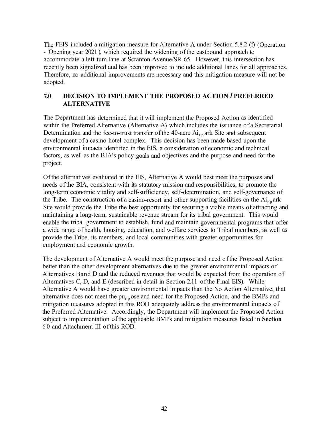The FEIS included a mitigation measure for Alternative A under Section 5.8.2 (f) (Operation - Opening year 2021 ), which required the widening of the eastbound approach to accommodate a left-tum lane at Scranton Avenue/SR-65. However, this intersection has recently been signalized and has been improved to include additional lanes for all approaches. Therefore, no additional improvements are necessary and this mitigation measure will not be adopted.

# **7.0 DECISION TO IMPLEMENT THE PROPOSED ACTION** *I* **PREFERRED ALTERNATIVE**

The Department has determined that it will implement the Proposed Action as identified within the Preferred Alternative (Alternative A) which includes the issuance of a Secretarial Determination and the fee-to-trust transfer of the 40-acre  $Ai_{r,n}$  ark Site and subsequent development of a casino-hotel complex. This decision has been made based upon the environmental impacts identified in the EIS, a consideration of economic and technical factors, as well as the BIA's policy goals and objectives and the purpose and need for the project.

Of the alternatives evaluated in the EIS, Alternative A would best meet the purposes and needs of the BIA, consistent with its statutory mission and responsibilities, to promote the long-term economic vitality and self-sufficiency, self-determination, and self-governance of the Tribe. The construction of a casino-resort and other supporting facilities on the  $Ai_{r}$  ark Site would provide the Tribe the best opportunity for securing a viable means of attracting and maintaining a long-term, sustainable revenue stream for its tribal government. This would enable the tribal government to establish, fund and maintain governmental programs that offer a wide range of health, housing, education, and welfare services to Tribal members, as well as provide the Tribe, its members, and local communities with greater opportunities for employment and economic growth.

The development of Alternative A would meet the purpose and need of the Proposed Action better than the other development alternatives due to the greater environmental impacts of Alternatives Band D and the reduced revenues that would be expected from the operation of Alternatives C, D, and E ( described in detail in Section 2.11 of the Final EIS). While Alternative A would have greater environmental impacts than the No Action Alternative, that alternative does not meet the  $pu_{r,p}$  ose and need for the Proposed Action, and the BMPs and mitigation measures adopted in this ROD adequately address the environmental impacts of the Preferred Alternative. Accordingly, the Department will implement the Proposed Action subject to implementation of the applicable BMPs and mitigation measures listed in **Section**  6.0 and Attachment III of this ROD.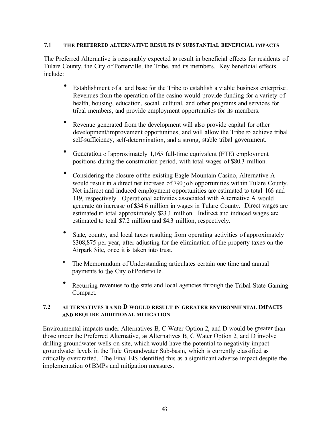### **7.1 THE PREFERRED ALTERNATIVE RESULTS IN SUBSTANTIAL BENEFICIAL IMPACTS**

The Preferred Alternative is reasonably expected to result in beneficial effects for residents of Tulare County, the City of Porterville, the Tribe, and its members. Key beneficial effects include:

- Establishment of a land base for the Tribe to establish a viable business enterprise. Revenues from the operation of the casino would provide funding for a variety of health, housing, education, social, cultural, and other programs and services for tribal members, and provide employment opportunities for its members.
- Revenue generated from the development will also provide capital for other development/improvement opportunities, and will allow the Tribe to achieve tribal self-sufficiency, self-determination, and a strong, stable tribal government.
- Generation of approximately 1,165 full-time equivalent (FTE) employment positions during the construction period, with total wages of \$80.3 million.
- Considering the closure of the existing Eagle Mountain Casino, Alternative A would result in a direct net increase of 790 job opportunities within Tulare County. Net indirect and induced employment opportunities are estimated to total 166 and 119, respectively. Operational activities associated with Alternative A would generate an increase of \$34.6 million in wages in Tulare County. Direct wages are estimated to total approximately \$23 .1 million. Indirect and induced wages are estimated to total \$7.2 million and \$4.3 million, respectively.
- State, county, and local taxes resulting from operating activities of approximately \$308,875 per year, after adjusting for the elimination of the property taxes on the Airpark Site, once it is taken into trust.
- The Memorandum of Understanding articulates certain one time and annual payments to the City of Porterville.
- Recurring revenues to the state and local agencies through the Tribal-State Gaming Compact.

#### **7.2 ALTERNATIVES BAND D WOULD RESULT IN GREATER ENVIRONMENTAL IMPACTS AND REQUIRE ADDITIONAL MITIGATION**

Environmental impacts under Alternatives B, C Water Option 2, and D would be greater than those under the Preferred Alternative, as Alternatives B, C Water Option 2, and D involve drilling groundwater wells on-site, which would have the potential to negativity impact groundwater levels in the Tule Groundwater Sub-basin, which is currently classified as critically overdrafted. The Final EIS identified this as a significant adverse impact despite the implementation of BMPs and mitigation measures.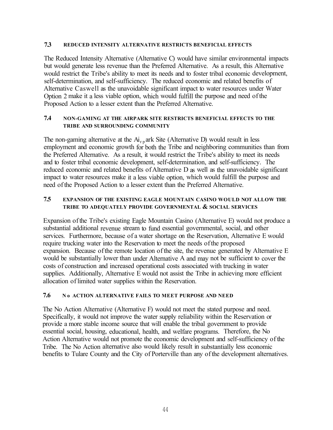#### **7.3 REDUCED INTENSITY ALTERNATlVE RESTRICTS BENEFICIAL EFFECTS**

The Reduced Intensity Alternative (Alternative C) would have similar environmental impacts but would generate less revenue than the Preferred Alternative. As a result, this Alternative would restrict the Tribe's ability to meet its needs and to foster tribal economic development, self-determination, and self-sufficiency. The reduced economic and related benefits of Alternative Caswell as the unavoidable significant impact to water resources under Water Option 2 make it a less viable option, which would fulfill the purpose and need of the Proposed Action to a lesser extent than the Preferred Alternative.

#### **7.4 NON-GAMING AT THE AIRPARK SITE RESTRICTS BENEFICIAL EFFECTS TO THE TRIBE AND SURROUNDING COMMUNITY**

The non-gaming alternative at the  $Ai_{r,p}$  ark Site (Alternative D) would result in less employment and economic growth for both the Tribe and neighboring communities than from the Preferred Alternative. As a result, it would restrict the Tribe's ability to meet its needs and to foster tribal economic development, self-determination, and self-sufficiency. The reduced economic and related benefits of Alternative D as well as the unavoidable significant impact to water resources make it a less viable option, which would fulfill the purpose and need of the Proposed Action to a lesser extent than the Preferred Alternative.

#### **7.5 EXPANSION OF THE EXISTING EAGLE MOUNTAIN CASINO WOULD NOT ALLOW THE TRIBE TO ADEQUATELY PROVIDE GOVERNMENTAL & SOCIAL SERVICES**

Expansion of the Tribe's existing Eagle Mountain Casino (Alternative E) would not produce a substantial additional revenue stream to fund essential governmental, social, and other services. Furthermore, because of a water shortage on the Reservation, Alternative E would require trucking water into the Reservation to meet the needs of the proposed expansion. Because of the remote location of the site, the revenue generated by Alternative E would be substantially lower than under Alternative A and may not be sufficient to cover the costs of construction and increased operational costs associated with trucking in water supplies. Additionally, Alternative E would not assist the Tribe in achieving more efficient allocation of limited water supplies within the Reservation.

#### **7.6 No ACTION ALTERNATIVE FAILS TO MEET PURPOSE AND NEED**

The No Action Alternative (Alternative F) would not meet the stated purpose and need. Specifically, it would not improve the water supply reliability within the Reservation or provide a more stable income source that will enable the tribal government to provide essential social, housing, educational, health, and welfare programs. Therefore, the No Action Alternative would not promote the economic development and self-sufficiency of the Tribe. The No Action alternative also would likely result in substantially less economic benefits to Tulare County and the City of Porterville than any of the development alternatives.